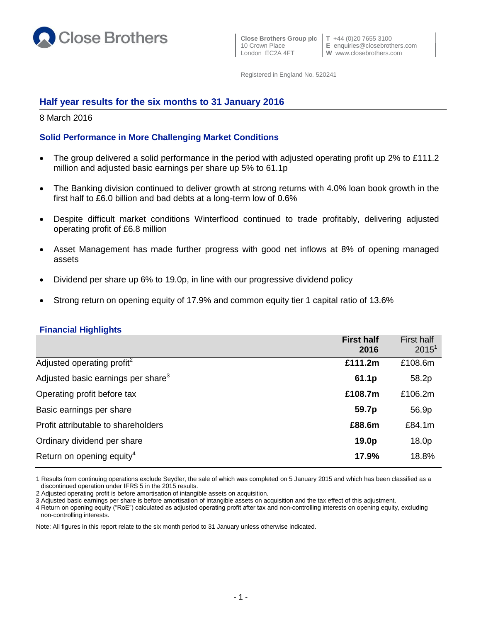

 **Close Brothers Group plc T** +44 (0)20 7655 3100 10 Crown Place **E** enquiries@closebrothers.com<br>
London EC2A 4FT **W** www.closebrothers.com

Registered in England No. 520241

# **Half year results for the six months to 31 January 2016**

8 March 2016

# **Solid Performance in More Challenging Market Conditions**

- The group delivered a solid performance in the period with adjusted operating profit up 2% to £111.2 million and adjusted basic earnings per share up 5% to 61.1p
- The Banking division continued to deliver growth at strong returns with 4.0% loan book growth in the first half to £6.0 billion and bad debts at a long-term low of 0.6%
- Despite difficult market conditions Winterflood continued to trade profitably, delivering adjusted operating profit of £6.8 million
- Asset Management has made further progress with good net inflows at 8% of opening managed assets
- Dividend per share up 6% to 19.0p, in line with our progressive dividend policy
- Strong return on opening equity of 17.9% and common equity tier 1 capital ratio of 13.6%

### **Financial Highlights**

|                                                | <b>First half</b><br>2016 | <b>First half</b><br>$2015^1$ |
|------------------------------------------------|---------------------------|-------------------------------|
| Adjusted operating profit <sup>2</sup>         | £111.2m                   | £108.6m                       |
| Adjusted basic earnings per share <sup>3</sup> | 61.1p                     | 58.2p                         |
| Operating profit before tax                    | £108.7m                   | £106.2m                       |
| Basic earnings per share                       | 59.7p                     | 56.9p                         |
| Profit attributable to shareholders            | £88.6m                    | £84.1m                        |
| Ordinary dividend per share                    | 19.0p                     | 18.0p                         |
| Return on opening equity <sup>4</sup>          | 17.9%                     | 18.8%                         |

1 Results from continuing operations exclude Seydler, the sale of which was completed on 5 January 2015 and which has been classified as a discontinued operation under IFRS 5 in the 2015 results.

3 Adjusted basic earnings per share is before amortisation of intangible assets on acquisition and the tax effect of this adjustment.

4 Return on opening equity ("RoE") calculated as adjusted operating profit after tax and non-controlling interests on opening equity, excluding non-controlling interests.

Note: All figures in this report relate to the six month period to 31 January unless otherwise indicated.

<sup>2</sup> Adjusted operating profit is before amortisation of intangible assets on acquisition.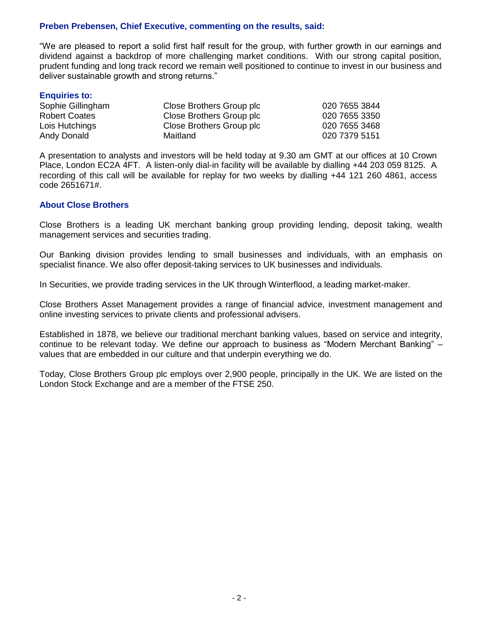## **Preben Prebensen, Chief Executive, commenting on the results, said:**

"We are pleased to report a solid first half result for the group, with further growth in our earnings and dividend against a backdrop of more challenging market conditions. With our strong capital position, prudent funding and long track record we remain well positioned to continue to invest in our business and deliver sustainable growth and strong returns."

#### **Enquiries to:**

| Sophie Gillingham    | Close Brothers Group plc | 020 7655 3844 |
|----------------------|--------------------------|---------------|
| <b>Robert Coates</b> | Close Brothers Group plc | 020 7655 3350 |
| Lois Hutchings       | Close Brothers Group plc | 020 7655 3468 |
| Andy Donald          | Maitland                 | 020 7379 5151 |
|                      |                          |               |

A presentation to analysts and investors will be held today at 9.30 am GMT at our offices at 10 Crown Place, London EC2A 4FT. A listen-only dial-in facility will be available by dialling +44 203 059 8125. A recording of this call will be available for replay for two weeks by dialling +44 121 260 4861, access code 2651671#.

### **About Close Brothers**

Close Brothers is a leading UK merchant banking group providing lending, deposit taking, wealth management services and securities trading.

Our Banking division provides lending to small businesses and individuals, with an emphasis on specialist finance. We also offer deposit-taking services to UK businesses and individuals.

In Securities, we provide trading services in the UK through Winterflood, a leading market-maker.

Close Brothers Asset Management provides a range of financial advice, investment management and online investing services to private clients and professional advisers.

Established in 1878, we believe our traditional merchant banking values, based on service and integrity, continue to be relevant today. We define our approach to business as "Modern Merchant Banking" – values that are embedded in our culture and that underpin everything we do.

Today, Close Brothers Group plc employs over 2,900 people, principally in the UK. We are listed on the London Stock Exchange and are a member of the FTSE 250.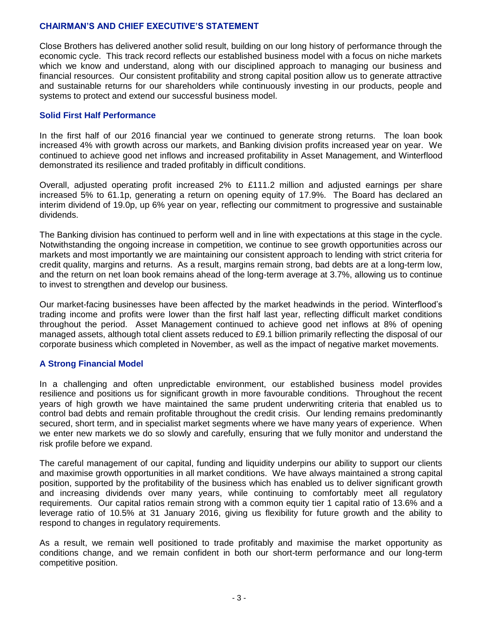# **CHAIRMAN'S AND CHIEF EXECUTIVE'S STATEMENT**

Close Brothers has delivered another solid result, building on our long history of performance through the economic cycle. This track record reflects our established business model with a focus on niche markets which we know and understand, along with our disciplined approach to managing our business and financial resources. Our consistent profitability and strong capital position allow us to generate attractive and sustainable returns for our shareholders while continuously investing in our products, people and systems to protect and extend our successful business model.

# **Solid First Half Performance**

In the first half of our 2016 financial year we continued to generate strong returns. The loan book increased 4% with growth across our markets, and Banking division profits increased year on year. We continued to achieve good net inflows and increased profitability in Asset Management, and Winterflood demonstrated its resilience and traded profitably in difficult conditions.

Overall, adjusted operating profit increased 2% to £111.2 million and adjusted earnings per share increased 5% to 61.1p, generating a return on opening equity of 17.9%. The Board has declared an interim dividend of 19.0p, up 6% year on year, reflecting our commitment to progressive and sustainable dividends.

The Banking division has continued to perform well and in line with expectations at this stage in the cycle. Notwithstanding the ongoing increase in competition, we continue to see growth opportunities across our markets and most importantly we are maintaining our consistent approach to lending with strict criteria for credit quality, margins and returns. As a result, margins remain strong, bad debts are at a long-term low, and the return on net loan book remains ahead of the long-term average at 3.7%, allowing us to continue to invest to strengthen and develop our business.

Our market-facing businesses have been affected by the market headwinds in the period. Winterflood's trading income and profits were lower than the first half last year, reflecting difficult market conditions throughout the period. Asset Management continued to achieve good net inflows at 8% of opening managed assets, although total client assets reduced to £9.1 billion primarily reflecting the disposal of our corporate business which completed in November, as well as the impact of negative market movements.

# **A Strong Financial Model**

In a challenging and often unpredictable environment, our established business model provides resilience and positions us for significant growth in more favourable conditions. Throughout the recent years of high growth we have maintained the same prudent underwriting criteria that enabled us to control bad debts and remain profitable throughout the credit crisis. Our lending remains predominantly secured, short term, and in specialist market segments where we have many years of experience. When we enter new markets we do so slowly and carefully, ensuring that we fully monitor and understand the risk profile before we expand.

The careful management of our capital, funding and liquidity underpins our ability to support our clients and maximise growth opportunities in all market conditions. We have always maintained a strong capital position, supported by the profitability of the business which has enabled us to deliver significant growth and increasing dividends over many years, while continuing to comfortably meet all regulatory requirements. Our capital ratios remain strong with a common equity tier 1 capital ratio of 13.6% and a leverage ratio of 10.5% at 31 January 2016, giving us flexibility for future growth and the ability to respond to changes in regulatory requirements.

As a result, we remain well positioned to trade profitably and maximise the market opportunity as conditions change, and we remain confident in both our short-term performance and our long-term competitive position.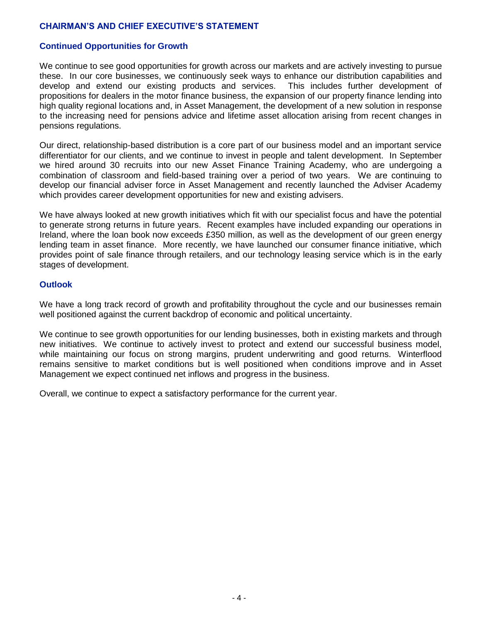# **CHAIRMAN'S AND CHIEF EXECUTIVE'S STATEMENT**

# **Continued Opportunities for Growth**

We continue to see good opportunities for growth across our markets and are actively investing to pursue these. In our core businesses, we continuously seek ways to enhance our distribution capabilities and develop and extend our existing products and services. This includes further development of propositions for dealers in the motor finance business, the expansion of our property finance lending into high quality regional locations and, in Asset Management, the development of a new solution in response to the increasing need for pensions advice and lifetime asset allocation arising from recent changes in pensions regulations.

Our direct, relationship-based distribution is a core part of our business model and an important service differentiator for our clients, and we continue to invest in people and talent development. In September we hired around 30 recruits into our new Asset Finance Training Academy, who are undergoing a combination of classroom and field-based training over a period of two years. We are continuing to develop our financial adviser force in Asset Management and recently launched the Adviser Academy which provides career development opportunities for new and existing advisers.

We have always looked at new growth initiatives which fit with our specialist focus and have the potential to generate strong returns in future years. Recent examples have included expanding our operations in Ireland, where the loan book now exceeds £350 million, as well as the development of our green energy lending team in asset finance. More recently, we have launched our consumer finance initiative, which provides point of sale finance through retailers, and our technology leasing service which is in the early stages of development.

## **Outlook**

We have a long track record of growth and profitability throughout the cycle and our businesses remain well positioned against the current backdrop of economic and political uncertainty.

We continue to see growth opportunities for our lending businesses, both in existing markets and through new initiatives. We continue to actively invest to protect and extend our successful business model, while maintaining our focus on strong margins, prudent underwriting and good returns. Winterflood remains sensitive to market conditions but is well positioned when conditions improve and in Asset Management we expect continued net inflows and progress in the business.

Overall, we continue to expect a satisfactory performance for the current year.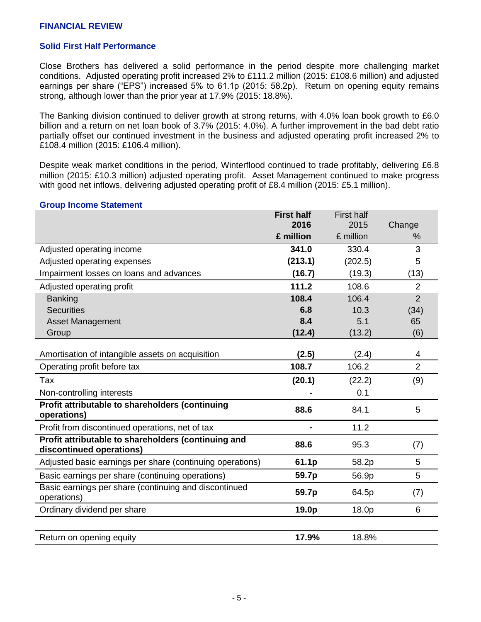# **FINANCIAL REVIEW**

### **Solid First Half Performance**

Close Brothers has delivered a solid performance in the period despite more challenging market conditions. Adjusted operating profit increased 2% to £111.2 million (2015: £108.6 million) and adjusted earnings per share ("EPS") increased 5% to 61.1p (2015: 58.2p). Return on opening equity remains strong, although lower than the prior year at 17.9% (2015: 18.8%).

The Banking division continued to deliver growth at strong returns, with 4.0% loan book growth to £6.0 billion and a return on net loan book of 3.7% (2015: 4.0%). A further improvement in the bad debt ratio partially offset our continued investment in the business and adjusted operating profit increased 2% to £108.4 million (2015: £106.4 million).

Despite weak market conditions in the period, Winterflood continued to trade profitably, delivering £6.8 million (2015: £10.3 million) adjusted operating profit. Asset Management continued to make progress with good net inflows, delivering adjusted operating profit of £8.4 million (2015: £5.1 million).

#### **Group Income Statement**

|                                                                                 | <b>First half</b> | <b>First half</b> |                |
|---------------------------------------------------------------------------------|-------------------|-------------------|----------------|
|                                                                                 | 2016              | 2015              | Change         |
|                                                                                 | £ million         | £ million         | ℅              |
| Adjusted operating income                                                       | 341.0             | 330.4             | 3              |
| Adjusted operating expenses                                                     | (213.1)           | (202.5)           | 5              |
| Impairment losses on loans and advances                                         | (16.7)            | (19.3)            | (13)           |
| Adjusted operating profit                                                       | 111.2             | 108.6             | $\overline{2}$ |
| <b>Banking</b>                                                                  | 108.4             | 106.4             | $\overline{2}$ |
| <b>Securities</b>                                                               | 6.8               | 10.3              | (34)           |
| <b>Asset Management</b>                                                         | 8.4               | 5.1               | 65             |
| Group                                                                           | (12.4)            | (13.2)            | (6)            |
|                                                                                 |                   |                   |                |
| Amortisation of intangible assets on acquisition                                | (2.5)             | (2.4)             | 4              |
| Operating profit before tax                                                     | 108.7             | 106.2             | $\overline{2}$ |
| Tax                                                                             | (20.1)            | (22.2)            | (9)            |
| Non-controlling interests                                                       |                   | 0.1               |                |
| Profit attributable to shareholders (continuing<br>operations)                  | 88.6              | 84.1              | 5              |
| Profit from discontinued operations, net of tax                                 |                   | 11.2              |                |
| Profit attributable to shareholders (continuing and<br>discontinued operations) | 88.6              | 95.3              | (7)            |
| Adjusted basic earnings per share (continuing operations)                       | 61.1p             | 58.2p             | 5              |
| Basic earnings per share (continuing operations)                                | 59.7p             | 56.9p             | 5              |
| Basic earnings per share (continuing and discontinued<br>operations)            | 59.7p             | 64.5p             | (7)            |
| Ordinary dividend per share                                                     | 19.0p             | 18.0p             | 6              |
|                                                                                 |                   |                   |                |
| Return on opening equity                                                        | 17.9%             | 18.8%             |                |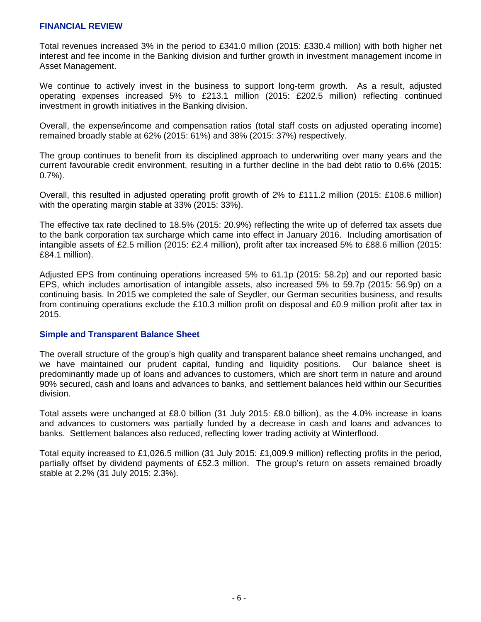## **FINANCIAL REVIEW**

Total revenues increased 3% in the period to £341.0 million (2015: £330.4 million) with both higher net interest and fee income in the Banking division and further growth in investment management income in Asset Management.

We continue to actively invest in the business to support long-term growth. As a result, adjusted operating expenses increased 5% to £213.1 million (2015: £202.5 million) reflecting continued investment in growth initiatives in the Banking division.

Overall, the expense/income and compensation ratios (total staff costs on adjusted operating income) remained broadly stable at 62% (2015: 61%) and 38% (2015: 37%) respectively.

The group continues to benefit from its disciplined approach to underwriting over many years and the current favourable credit environment, resulting in a further decline in the bad debt ratio to 0.6% (2015:  $0.7\%$ ).

Overall, this resulted in adjusted operating profit growth of 2% to £111.2 million (2015: £108.6 million) with the operating margin stable at 33% (2015: 33%).

The effective tax rate declined to 18.5% (2015: 20.9%) reflecting the write up of deferred tax assets due to the bank corporation tax surcharge which came into effect in January 2016. Including amortisation of intangible assets of £2.5 million (2015: £2.4 million), profit after tax increased 5% to £88.6 million (2015: £84.1 million).

Adjusted EPS from continuing operations increased 5% to 61.1p (2015: 58.2p) and our reported basic EPS, which includes amortisation of intangible assets, also increased 5% to 59.7p (2015: 56.9p) on a continuing basis. In 2015 we completed the sale of Seydler, our German securities business, and results from continuing operations exclude the £10.3 million profit on disposal and £0.9 million profit after tax in 2015.

# **Simple and Transparent Balance Sheet**

The overall structure of the group's high quality and transparent balance sheet remains unchanged, and we have maintained our prudent capital, funding and liquidity positions. Our balance sheet is predominantly made up of loans and advances to customers, which are short term in nature and around 90% secured, cash and loans and advances to banks, and settlement balances held within our Securities division.

Total assets were unchanged at £8.0 billion (31 July 2015: £8.0 billion), as the 4.0% increase in loans and advances to customers was partially funded by a decrease in cash and loans and advances to banks. Settlement balances also reduced, reflecting lower trading activity at Winterflood.

Total equity increased to £1,026.5 million (31 July 2015: £1,009.9 million) reflecting profits in the period, partially offset by dividend payments of £52.3 million. The group's return on assets remained broadly stable at 2.2% (31 July 2015: 2.3%).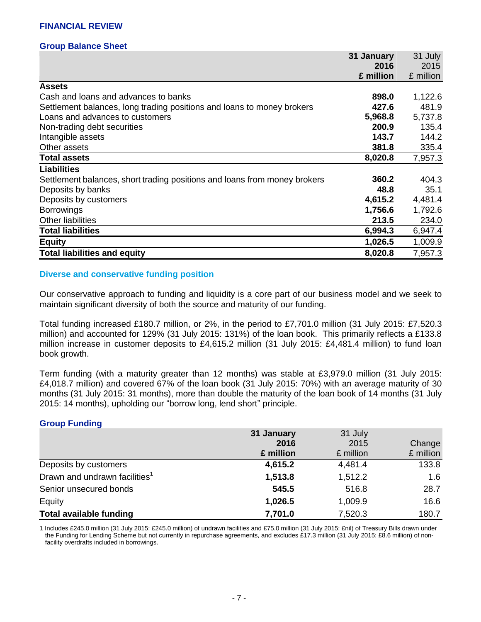## **Group Balance Sheet**

|                                                                           | 31 January | 31 July   |
|---------------------------------------------------------------------------|------------|-----------|
|                                                                           | 2016       | 2015      |
|                                                                           | £ million  | £ million |
| <b>Assets</b>                                                             |            |           |
| Cash and loans and advances to banks                                      | 898.0      | 1,122.6   |
| Settlement balances, long trading positions and loans to money brokers    | 427.6      | 481.9     |
| Loans and advances to customers                                           | 5,968.8    | 5,737.8   |
| Non-trading debt securities                                               | 200.9      | 135.4     |
| Intangible assets                                                         | 143.7      | 144.2     |
| Other assets                                                              | 381.8      | 335.4     |
| <b>Total assets</b>                                                       | 8,020.8    | 7,957.3   |
| <b>Liabilities</b>                                                        |            |           |
| Settlement balances, short trading positions and loans from money brokers | 360.2      | 404.3     |
| Deposits by banks                                                         | 48.8       | 35.1      |
| Deposits by customers                                                     | 4,615.2    | 4,481.4   |
| <b>Borrowings</b>                                                         | 1,756.6    | 1,792.6   |
| <b>Other liabilities</b>                                                  | 213.5      | 234.0     |
| <b>Total liabilities</b>                                                  | 6,994.3    | 6,947.4   |
| <b>Equity</b>                                                             | 1,026.5    | 1,009.9   |
| <b>Total liabilities and equity</b>                                       | 8,020.8    | 7,957.3   |

# **Diverse and conservative funding position**

Our conservative approach to funding and liquidity is a core part of our business model and we seek to maintain significant diversity of both the source and maturity of our funding.

Total funding increased £180.7 million, or 2%, in the period to £7,701.0 million (31 July 2015: £7,520.3 million) and accounted for 129% (31 July 2015: 131%) of the loan book. This primarily reflects a £133.8 million increase in customer deposits to £4,615.2 million (31 July 2015: £4,481.4 million) to fund loan book growth.

Term funding (with a maturity greater than 12 months) was stable at £3,979.0 million (31 July 2015: £4,018.7 million) and covered 67% of the loan book (31 July 2015: 70%) with an average maturity of 30 months (31 July 2015: 31 months), more than double the maturity of the loan book of 14 months (31 July 2015: 14 months), upholding our "borrow long, lend short" principle.

# **Group Funding**

|                                           | 31 January | 31 July   |           |
|-------------------------------------------|------------|-----------|-----------|
|                                           | 2016       | 2015      | Change    |
|                                           | £ million  | £ million | £ million |
| Deposits by customers                     | 4,615.2    | 4,481.4   | 133.8     |
| Drawn and undrawn facilities <sup>1</sup> | 1,513.8    | 1,512.2   | 1.6       |
| Senior unsecured bonds                    | 545.5      | 516.8     | 28.7      |
| Equity                                    | 1,026.5    | 1,009.9   | 16.6      |
| <b>Total available funding</b>            | 7,701.0    | 7,520.3   | 180.7     |

1 Includes £245.0 million (31 July 2015: £245.0 million) of undrawn facilities and £75.0 million (31 July 2015: £nil) of Treasury Bills drawn under the Funding for Lending Scheme but not currently in repurchase agreements, and excludes £17.3 million (31 July 2015: £8.6 million) of nonfacility overdrafts included in borrowings.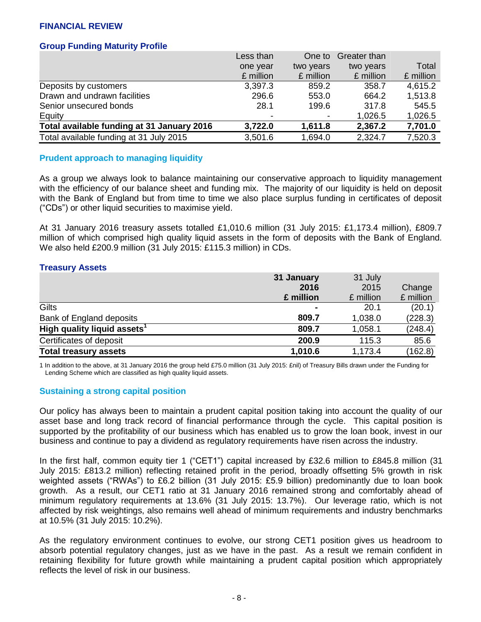# **FINANCIAL REVIEW**

# **Group Funding Maturity Profile**

|                                            | Less than | One to    | Greater than |           |
|--------------------------------------------|-----------|-----------|--------------|-----------|
|                                            | one year  | two years | two years    | Total     |
|                                            | £ million | £ million | £ million    | £ million |
| Deposits by customers                      | 3,397.3   | 859.2     | 358.7        | 4,615.2   |
| Drawn and undrawn facilities               | 296.6     | 553.0     | 664.2        | 1,513.8   |
| Senior unsecured bonds                     | 28.1      | 199.6     | 317.8        | 545.5     |
| Equity                                     |           |           | 1,026.5      | 1,026.5   |
| Total available funding at 31 January 2016 | 3,722.0   | 1,611.8   | 2,367.2      | 7,701.0   |
| Total available funding at 31 July 2015    | 3,501.6   | 1,694.0   | 2,324.7      | 7,520.3   |

### **Prudent approach to managing liquidity**

As a group we always look to balance maintaining our conservative approach to liquidity management with the efficiency of our balance sheet and funding mix. The majority of our liquidity is held on deposit with the Bank of England but from time to time we also place surplus funding in certificates of deposit ("CDs") or other liquid securities to maximise yield.

At 31 January 2016 treasury assets totalled £1,010.6 million (31 July 2015: £1,173.4 million), £809.7 million of which comprised high quality liquid assets in the form of deposits with the Bank of England. We also held £200.9 million (31 July 2015: £115.3 million) in CDs.

### **Treasury Assets**

|                                         | 31 January | 31 July   |           |
|-----------------------------------------|------------|-----------|-----------|
|                                         | 2016       | 2015      | Change    |
|                                         | £ million  | £ million | £ million |
| Gilts                                   |            | 20.1      | (20.1)    |
| Bank of England deposits                | 809.7      | 1,038.0   | (228.3)   |
| High quality liquid assets <sup>1</sup> | 809.7      | 1,058.1   | (248.4)   |
| Certificates of deposit                 | 200.9      | 115.3     | 85.6      |
| <b>Total treasury assets</b>            | 1,010.6    | 1,173.4   | (162.8)   |

1 In addition to the above, at 31 January 2016 the group held £75.0 million (31 July 2015: £nil) of Treasury Bills drawn under the Funding for Lending Scheme which are classified as high quality liquid assets.

# **Sustaining a strong capital position**

Our policy has always been to maintain a prudent capital position taking into account the quality of our asset base and long track record of financial performance through the cycle. This capital position is supported by the profitability of our business which has enabled us to grow the loan book, invest in our business and continue to pay a dividend as regulatory requirements have risen across the industry.

In the first half, common equity tier 1 ("CET1") capital increased by £32.6 million to £845.8 million (31 July 2015: £813.2 million) reflecting retained profit in the period, broadly offsetting 5% growth in risk weighted assets ("RWAs") to £6.2 billion (31 July 2015: £5.9 billion) predominantly due to loan book growth. As a result, our CET1 ratio at 31 January 2016 remained strong and comfortably ahead of minimum regulatory requirements at 13.6% (31 July 2015: 13.7%). Our leverage ratio, which is not affected by risk weightings, also remains well ahead of minimum requirements and industry benchmarks at 10.5% (31 July 2015: 10.2%).

As the regulatory environment continues to evolve, our strong CET1 position gives us headroom to absorb potential regulatory changes, just as we have in the past. As a result we remain confident in retaining flexibility for future growth while maintaining a prudent capital position which appropriately reflects the level of risk in our business.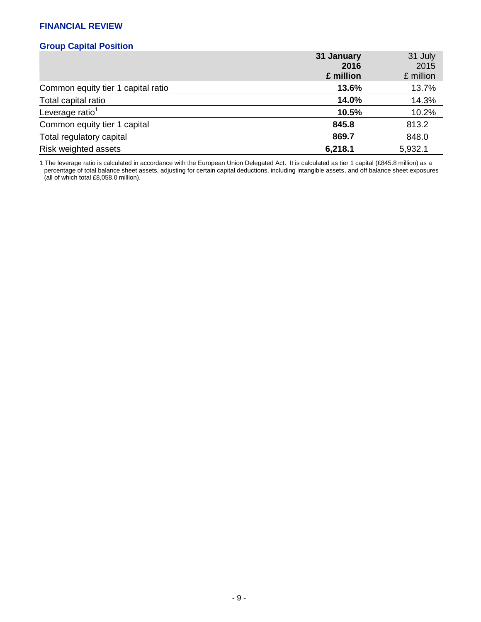# **FINANCIAL REVIEW**

# **Group Capital Position**

|                                    | 31 January | 31 July   |
|------------------------------------|------------|-----------|
|                                    | 2016       | 2015      |
|                                    | £ million  | £ million |
| Common equity tier 1 capital ratio | 13.6%      | 13.7%     |
| Total capital ratio                | 14.0%      | 14.3%     |
| Leverage ratio <sup>1</sup>        | 10.5%      | 10.2%     |
| Common equity tier 1 capital       | 845.8      | 813.2     |
| Total regulatory capital           | 869.7      | 848.0     |
| Risk weighted assets               | 6,218.1    | 5,932.1   |

1 The leverage ratio is calculated in accordance with the European Union Delegated Act. It is calculated as tier 1 capital (£845.8 million) as a percentage of total balance sheet assets, adjusting for certain capital deductions, including intangible assets, and off balance sheet exposures (all of which total £8,058.0 million).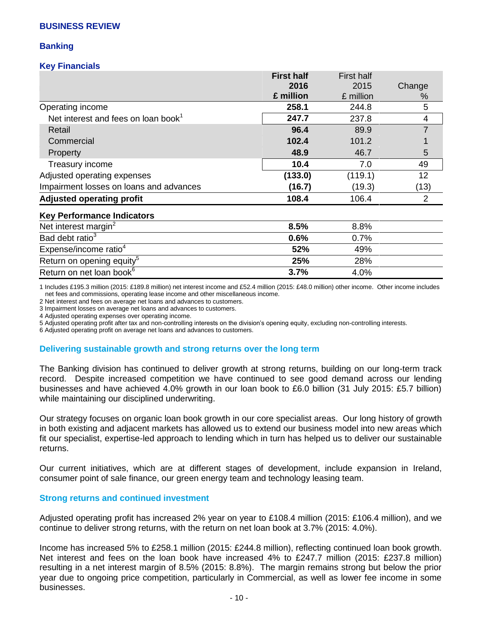## **BUSINESS REVIEW**

# **Banking**

## **Key Financials**

|                                                 | <b>First half</b> | <b>First half</b> |        |
|-------------------------------------------------|-------------------|-------------------|--------|
|                                                 | 2016              | 2015              | Change |
|                                                 | £ million         | £ million         | $\%$   |
| Operating income                                | 258.1             | 244.8             | 5      |
| Net interest and fees on loan book <sup>1</sup> | 247.7             | 237.8             | 4      |
| Retail                                          | 96.4              | 89.9              |        |
| Commercial                                      | 102.4             | 101.2             |        |
| Property                                        | 48.9              | 46.7              | 5      |
| Treasury income                                 | 10.4              | 7.0               | 49     |
| Adjusted operating expenses                     | (133.0)           | (119.1)           | 12     |
| Impairment losses on loans and advances         | (16.7)            | (19.3)            | (13)   |
| <b>Adjusted operating profit</b>                | 108.4             | 106.4             | 2      |
| <b>Key Performance Indicators</b>               |                   |                   |        |
| Net interest margin <sup>2</sup>                | 8.5%              | 8.8%              |        |
| Bad debt ratio <sup>3</sup>                     | 0.6%              | 0.7%              |        |
| Expense/income ratio <sup>4</sup>               | 52%               | 49%               |        |

1 Includes £195.3 million (2015: £189.8 million) net interest income and £52.4 million (2015: £48.0 million) other income. Other income includes net fees and commissions, operating lease income and other miscellaneous income.

**25%** 28%

**3.7%** 4.0%

2 Net interest and fees on average net loans and advances to customers.

3 Impairment losses on average net loans and advances to customers.

4 Adjusted operating expenses over operating income.

Return on opening equity<sup>5</sup>

Return on net loan book<sup>6</sup>

5 Adjusted operating profit after tax and non-controlling interests on the division's opening equity, excluding non-controlling interests.

6 Adjusted operating profit on average net loans and advances to customers.

#### **Delivering sustainable growth and strong returns over the long term**

The Banking division has continued to deliver growth at strong returns, building on our long-term track record. Despite increased competition we have continued to see good demand across our lending businesses and have achieved 4.0% growth in our loan book to £6.0 billion (31 July 2015: £5.7 billion) while maintaining our disciplined underwriting.

Our strategy focuses on organic loan book growth in our core specialist areas. Our long history of growth in both existing and adjacent markets has allowed us to extend our business model into new areas which fit our specialist, expertise-led approach to lending which in turn has helped us to deliver our sustainable returns.

Our current initiatives, which are at different stages of development, include expansion in Ireland, consumer point of sale finance, our green energy team and technology leasing team.

### **Strong returns and continued investment**

Adjusted operating profit has increased 2% year on year to £108.4 million (2015: £106.4 million), and we continue to deliver strong returns, with the return on net loan book at 3.7% (2015: 4.0%).

Income has increased 5% to £258.1 million (2015: £244.8 million), reflecting continued loan book growth. Net interest and fees on the loan book have increased 4% to £247.7 million (2015: £237.8 million) resulting in a net interest margin of 8.5% (2015: 8.8%). The margin remains strong but below the prior year due to ongoing price competition, particularly in Commercial, as well as lower fee income in some businesses.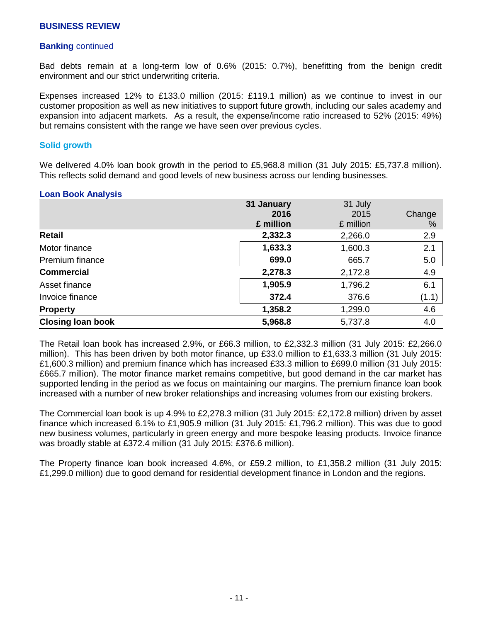## **Banking** continued

Bad debts remain at a long-term low of 0.6% (2015: 0.7%), benefitting from the benign credit environment and our strict underwriting criteria.

Expenses increased 12% to £133.0 million (2015: £119.1 million) as we continue to invest in our customer proposition as well as new initiatives to support future growth, including our sales academy and expansion into adjacent markets. As a result, the expense/income ratio increased to 52% (2015: 49%) but remains consistent with the range we have seen over previous cycles.

### **Solid growth**

We delivered 4.0% loan book growth in the period to £5,968.8 million (31 July 2015: £5,737.8 million). This reflects solid demand and good levels of new business across our lending businesses.

### **Loan Book Analysis**

|                          | 31 January | 31 July   |        |
|--------------------------|------------|-----------|--------|
|                          | 2016       | 2015      | Change |
|                          | £ million  | £ million | $\%$   |
| <b>Retail</b>            | 2,332.3    | 2,266.0   | 2.9    |
| Motor finance            | 1,633.3    | 1,600.3   | 2.1    |
| Premium finance          | 699.0      | 665.7     | 5.0    |
| <b>Commercial</b>        | 2,278.3    | 2,172.8   | 4.9    |
| Asset finance            | 1,905.9    | 1,796.2   | 6.1    |
| Invoice finance          | 372.4      | 376.6     | (1.1)  |
| <b>Property</b>          | 1,358.2    | 1,299.0   | 4.6    |
| <b>Closing loan book</b> | 5,968.8    | 5,737.8   | 4.0    |

The Retail loan book has increased 2.9%, or £66.3 million, to £2,332.3 million (31 July 2015: £2,266.0 million). This has been driven by both motor finance, up £33.0 million to £1,633.3 million (31 July 2015: £1,600.3 million) and premium finance which has increased £33.3 million to £699.0 million (31 July 2015: £665.7 million). The motor finance market remains competitive, but good demand in the car market has supported lending in the period as we focus on maintaining our margins. The premium finance loan book increased with a number of new broker relationships and increasing volumes from our existing brokers.

The Commercial loan book is up 4.9% to £2,278.3 million (31 July 2015: £2,172.8 million) driven by asset finance which increased 6.1% to £1,905.9 million (31 July 2015: £1,796.2 million). This was due to good new business volumes, particularly in green energy and more bespoke leasing products. Invoice finance was broadly stable at £372.4 million (31 July 2015: £376.6 million).

The Property finance loan book increased 4.6%, or £59.2 million, to £1,358.2 million (31 July 2015: £1,299.0 million) due to good demand for residential development finance in London and the regions.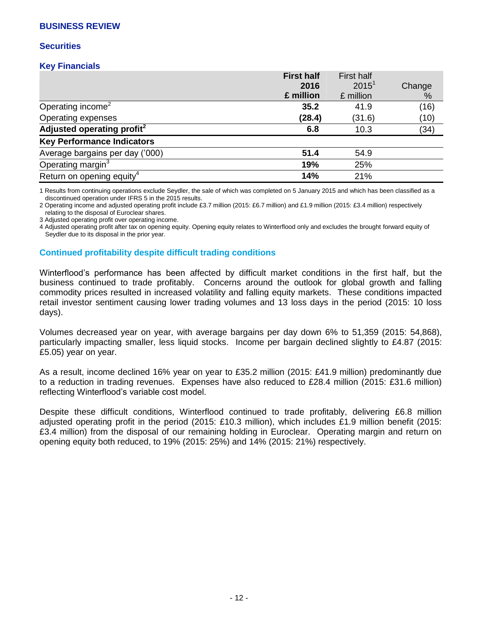## **BUSINESS REVIEW**

### **Securities**

### **Key Financials**

| <b>First half</b> | <b>First half</b> |        |
|-------------------|-------------------|--------|
| 2016              | $2015^1$          | Change |
| £ million         | £ million         | %      |
| 35.2              | 41.9              | (16)   |
| (28.4)            | (31.6)            | (10)   |
| 6.8               | 10.3              | (34)   |
|                   |                   |        |
| 51.4              | 54.9              |        |
| 19%               | 25%               |        |
| 14%               | 21%               |        |
|                   |                   |        |

1 Results from continuing operations exclude Seydler, the sale of which was completed on 5 January 2015 and which has been classified as a discontinued operation under IFRS 5 in the 2015 results.

2 Operating income and adjusted operating profit include £3.7 million (2015: £6.7 million) and £1.9 million (2015: £3.4 million) respectively relating to the disposal of Euroclear shares.

3 Adjusted operating profit over operating income.

4 Adjusted operating profit after tax on opening equity. Opening equity relates to Winterflood only and excludes the brought forward equity of Seydler due to its disposal in the prior year.

# **Continued profitability despite difficult trading conditions**

Winterflood's performance has been affected by difficult market conditions in the first half, but the business continued to trade profitably. Concerns around the outlook for global growth and falling commodity prices resulted in increased volatility and falling equity markets. These conditions impacted retail investor sentiment causing lower trading volumes and 13 loss days in the period (2015: 10 loss days).

Volumes decreased year on year, with average bargains per day down 6% to 51,359 (2015: 54,868), particularly impacting smaller, less liquid stocks. Income per bargain declined slightly to £4.87 (2015: £5.05) year on year.

As a result, income declined 16% year on year to £35.2 million (2015: £41.9 million) predominantly due to a reduction in trading revenues. Expenses have also reduced to £28.4 million (2015: £31.6 million) reflecting Winterflood's variable cost model.

Despite these difficult conditions, Winterflood continued to trade profitably, delivering £6.8 million adjusted operating profit in the period (2015: £10.3 million), which includes £1.9 million benefit (2015: £3.4 million) from the disposal of our remaining holding in Euroclear. Operating margin and return on opening equity both reduced, to 19% (2015: 25%) and 14% (2015: 21%) respectively.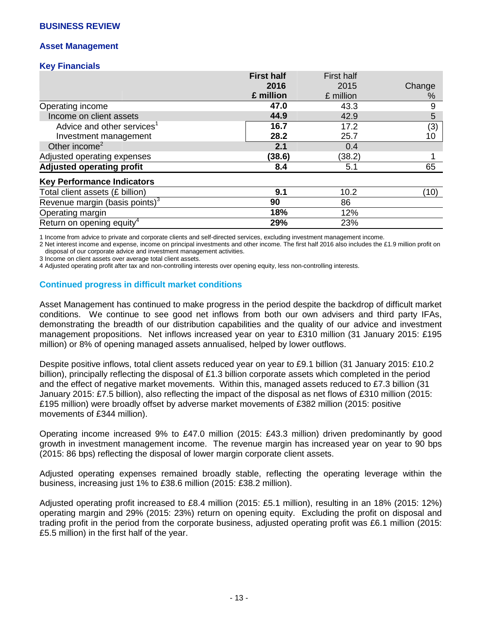## **BUSINESS REVIEW**

## **Asset Management**

### **Key Financials**

|                                        | <b>First half</b> | <b>First half</b> |        |
|----------------------------------------|-------------------|-------------------|--------|
|                                        | 2016              | 2015              | Change |
|                                        | £ million         | £ million         | %      |
| Operating income                       | 47.0              | 43.3              | 9      |
| Income on client assets                | 44.9              | 42.9              | 5      |
| Advice and other services <sup>1</sup> | 16.7              | 17.2              | (3)    |
| Investment management                  | 28.2              | 25.7              | 10     |
| Other income <sup>2</sup>              | 2.1               | 0.4               |        |
| Adjusted operating expenses            | (38.6)            | (38.2)            |        |
| <b>Adjusted operating profit</b>       | 8.4               | 5.1               | 65     |
| <b>Key Performance Indicators</b>      |                   |                   |        |
| Total client assets (£ billion)        | 9.1               | 10.2              | (10)   |
| Revenue margin (basis points) $3$      | 90                | 86                |        |
| Operating margin                       | 18%               | 12%               |        |
| Return on opening equity <sup>4</sup>  | 29%               | 23%               |        |

1 Income from advice to private and corporate clients and self-directed services, excluding investment management income.

2 Net interest income and expense, income on principal investments and other income. The first half 2016 also includes the £1.9 million profit on disposal of our corporate advice and investment management activities.

3 Income on client assets over average total client assets.

4 Adjusted operating profit after tax and non-controlling interests over opening equity, less non-controlling interests.

### **Continued progress in difficult market conditions**

Asset Management has continued to make progress in the period despite the backdrop of difficult market conditions. We continue to see good net inflows from both our own advisers and third party IFAs, demonstrating the breadth of our distribution capabilities and the quality of our advice and investment management propositions. Net inflows increased year on year to £310 million (31 January 2015: £195 million) or 8% of opening managed assets annualised, helped by lower outflows.

Despite positive inflows, total client assets reduced year on year to £9.1 billion (31 January 2015: £10.2 billion), principally reflecting the disposal of £1.3 billion corporate assets which completed in the period and the effect of negative market movements. Within this, managed assets reduced to £7.3 billion (31 January 2015: £7.5 billion), also reflecting the impact of the disposal as net flows of £310 million (2015: £195 million) were broadly offset by adverse market movements of £382 million (2015: positive movements of £344 million).

Operating income increased 9% to £47.0 million (2015: £43.3 million) driven predominantly by good growth in investment management income. The revenue margin has increased year on year to 90 bps (2015: 86 bps) reflecting the disposal of lower margin corporate client assets.

Adjusted operating expenses remained broadly stable, reflecting the operating leverage within the business, increasing just 1% to £38.6 million (2015: £38.2 million).

Adjusted operating profit increased to £8.4 million (2015: £5.1 million), resulting in an 18% (2015: 12%) operating margin and 29% (2015: 23%) return on opening equity. Excluding the profit on disposal and trading profit in the period from the corporate business, adjusted operating profit was £6.1 million (2015: £5.5 million) in the first half of the year.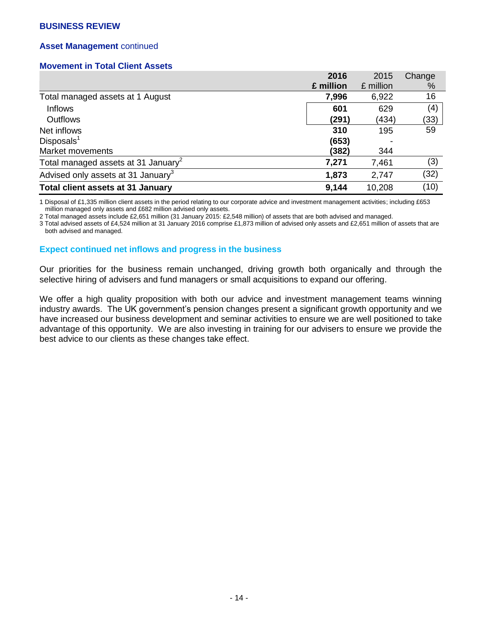# **Asset Management** continued

## **Movement in Total Client Assets**

|                                                 | 2016      | 2015      | Change |
|-------------------------------------------------|-----------|-----------|--------|
|                                                 | £ million | £ million | %      |
| Total managed assets at 1 August                | 7,996     | 6,922     | 16     |
| <b>Inflows</b>                                  | 601       | 629       | (4)    |
| <b>Outflows</b>                                 | (291)     | (434)     | (33)   |
| Net inflows                                     | 310       | 195       | 59     |
| Disposals <sup>1</sup>                          | (653)     |           |        |
| Market movements                                | (382)     | 344       |        |
| Total managed assets at 31 January <sup>2</sup> | 7,271     | 7,461     | (3)    |
| Advised only assets at 31 January <sup>3</sup>  | 1,873     | 2,747     | (32)   |
| <b>Total client assets at 31 January</b>        | 9,144     | 10,208    | (10)   |

1 Disposal of £1,335 million client assets in the period relating to our corporate advice and investment management activities; including £653 million managed only assets and £682 million advised only assets.

2 Total managed assets include £2,651 million (31 January 2015: £2,548 million) of assets that are both advised and managed.

3 Total advised assets of £4,524 million at 31 January 2016 comprise £1,873 million of advised only assets and £2,651 million of assets that are both advised and managed.

## **Expect continued net inflows and progress in the business**

Our priorities for the business remain unchanged, driving growth both organically and through the selective hiring of advisers and fund managers or small acquisitions to expand our offering.

We offer a high quality proposition with both our advice and investment management teams winning industry awards. The UK government's pension changes present a significant growth opportunity and we have increased our business development and seminar activities to ensure we are well positioned to take advantage of this opportunity. We are also investing in training for our advisers to ensure we provide the best advice to our clients as these changes take effect.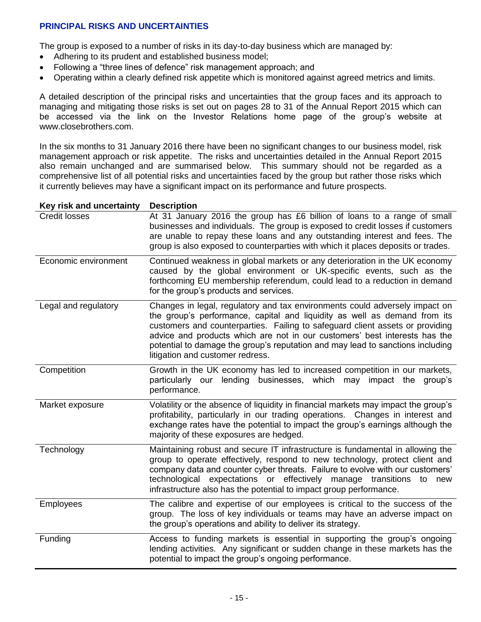# **PRINCIPAL RISKS AND UNCERTAINTIES**

The group is exposed to a number of risks in its day-to-day business which are managed by:

- Adhering to its prudent and established business model;
- Following a "three lines of defence" risk management approach; and
- Operating within a clearly defined risk appetite which is monitored against agreed metrics and limits.

A detailed description of the principal risks and uncertainties that the group faces and its approach to managing and mitigating those risks is set out on pages 28 to 31 of the Annual Report 2015 which can be accessed via the link on the Investor Relations home page of the group's website at www.closebrothers.com.

In the six months to 31 January 2016 there have been no significant changes to our business model, risk management approach or risk appetite. The risks and uncertainties detailed in the Annual Report 2015 also remain unchanged and are summarised below. This summary should not be regarded as a comprehensive list of all potential risks and uncertainties faced by the group but rather those risks which it currently believes may have a significant impact on its performance and future prospects.

### **Key risk and uncertainty Description**

| $\cdots$ , $\cdots$ , $\cdots$ , $\cdots$ , $\cdots$ , $\cdots$ , $\cdots$<br><b>Credit losses</b> | At 31 January 2016 the group has £6 billion of loans to a range of small<br>businesses and individuals. The group is exposed to credit losses if customers<br>are unable to repay these loans and any outstanding interest and fees. The<br>group is also exposed to counterparties with which it places deposits or trades.                                                                                                                  |
|----------------------------------------------------------------------------------------------------|-----------------------------------------------------------------------------------------------------------------------------------------------------------------------------------------------------------------------------------------------------------------------------------------------------------------------------------------------------------------------------------------------------------------------------------------------|
| Economic environment                                                                               | Continued weakness in global markets or any deterioration in the UK economy<br>caused by the global environment or UK-specific events, such as the<br>forthcoming EU membership referendum, could lead to a reduction in demand<br>for the group's products and services.                                                                                                                                                                     |
| Legal and regulatory                                                                               | Changes in legal, regulatory and tax environments could adversely impact on<br>the group's performance, capital and liquidity as well as demand from its<br>customers and counterparties. Failing to safeguard client assets or providing<br>advice and products which are not in our customers' best interests has the<br>potential to damage the group's reputation and may lead to sanctions including<br>litigation and customer redress. |
| Competition                                                                                        | Growth in the UK economy has led to increased competition in our markets,<br>particularly our lending businesses, which may impact the group's<br>performance.                                                                                                                                                                                                                                                                                |
| Market exposure                                                                                    | Volatility or the absence of liquidity in financial markets may impact the group's<br>profitability, particularly in our trading operations. Changes in interest and<br>exchange rates have the potential to impact the group's earnings although the<br>majority of these exposures are hedged.                                                                                                                                              |
| Technology                                                                                         | Maintaining robust and secure IT infrastructure is fundamental in allowing the<br>group to operate effectively, respond to new technology, protect client and<br>company data and counter cyber threats. Failure to evolve with our customers'<br>technological expectations or effectively manage transitions to<br>new<br>infrastructure also has the potential to impact group performance.                                                |
| <b>Employees</b>                                                                                   | The calibre and expertise of our employees is critical to the success of the<br>group. The loss of key individuals or teams may have an adverse impact on<br>the group's operations and ability to deliver its strategy.                                                                                                                                                                                                                      |
| Funding                                                                                            | Access to funding markets is essential in supporting the group's ongoing<br>lending activities. Any significant or sudden change in these markets has the<br>potential to impact the group's ongoing performance.                                                                                                                                                                                                                             |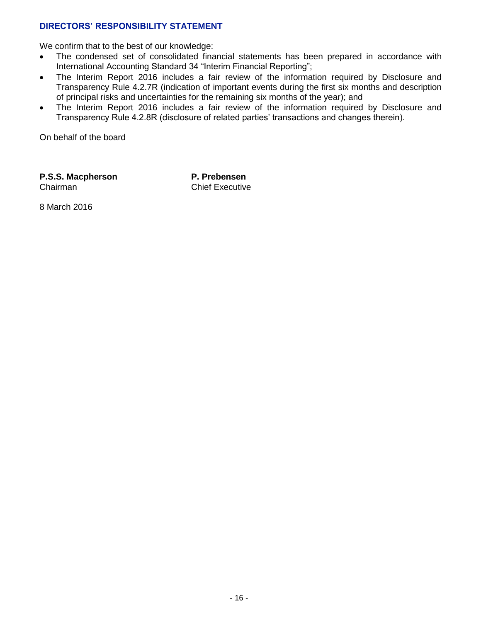# **DIRECTORS' RESPONSIBILITY STATEMENT**

We confirm that to the best of our knowledge:

- The condensed set of consolidated financial statements has been prepared in accordance with International Accounting Standard 34 "Interim Financial Reporting";
- The Interim Report 2016 includes a fair review of the information required by Disclosure and Transparency Rule 4.2.7R (indication of important events during the first six months and description of principal risks and uncertainties for the remaining six months of the year); and
- The Interim Report 2016 includes a fair review of the information required by Disclosure and Transparency Rule 4.2.8R (disclosure of related parties' transactions and changes therein).

On behalf of the board

**P.S.S. Macpherson** Chairman

**P. Prebensen** Chief Executive

8 March 2016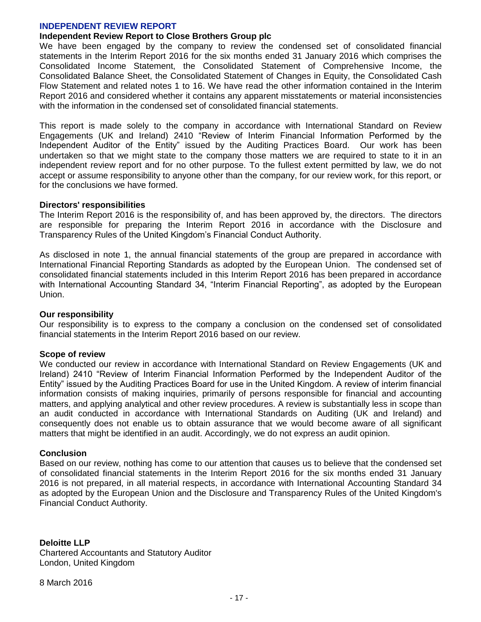### **INDEPENDENT REVIEW REPORT**

#### **Independent Review Report to Close Brothers Group plc**

We have been engaged by the company to review the condensed set of consolidated financial statements in the Interim Report 2016 for the six months ended 31 January 2016 which comprises the Consolidated Income Statement, the Consolidated Statement of Comprehensive Income, the Consolidated Balance Sheet, the Consolidated Statement of Changes in Equity, the Consolidated Cash Flow Statement and related notes 1 to 16. We have read the other information contained in the Interim Report 2016 and considered whether it contains any apparent misstatements or material inconsistencies with the information in the condensed set of consolidated financial statements.

This report is made solely to the company in accordance with International Standard on Review Engagements (UK and Ireland) 2410 "Review of Interim Financial Information Performed by the Independent Auditor of the Entity" issued by the Auditing Practices Board. Our work has been undertaken so that we might state to the company those matters we are required to state to it in an independent review report and for no other purpose. To the fullest extent permitted by law, we do not accept or assume responsibility to anyone other than the company, for our review work, for this report, or for the conclusions we have formed.

#### **Directors' responsibilities**

The Interim Report 2016 is the responsibility of, and has been approved by, the directors. The directors are responsible for preparing the Interim Report 2016 in accordance with the Disclosure and Transparency Rules of the United Kingdom's Financial Conduct Authority.

As disclosed in note 1, the annual financial statements of the group are prepared in accordance with International Financial Reporting Standards as adopted by the European Union. The condensed set of consolidated financial statements included in this Interim Report 2016 has been prepared in accordance with International Accounting Standard 34, "Interim Financial Reporting", as adopted by the European Union.

#### **Our responsibility**

Our responsibility is to express to the company a conclusion on the condensed set of consolidated financial statements in the Interim Report 2016 based on our review.

### **Scope of review**

We conducted our review in accordance with International Standard on Review Engagements (UK and Ireland) 2410 "Review of Interim Financial Information Performed by the Independent Auditor of the Entity" issued by the Auditing Practices Board for use in the United Kingdom. A review of interim financial information consists of making inquiries, primarily of persons responsible for financial and accounting matters, and applying analytical and other review procedures. A review is substantially less in scope than an audit conducted in accordance with International Standards on Auditing (UK and Ireland) and consequently does not enable us to obtain assurance that we would become aware of all significant matters that might be identified in an audit. Accordingly, we do not express an audit opinion.

### **Conclusion**

Based on our review, nothing has come to our attention that causes us to believe that the condensed set of consolidated financial statements in the Interim Report 2016 for the six months ended 31 January 2016 is not prepared, in all material respects, in accordance with International Accounting Standard 34 as adopted by the European Union and the Disclosure and Transparency Rules of the United Kingdom's Financial Conduct Authority.

### **Deloitte LLP**

Chartered Accountants and Statutory Auditor London, United Kingdom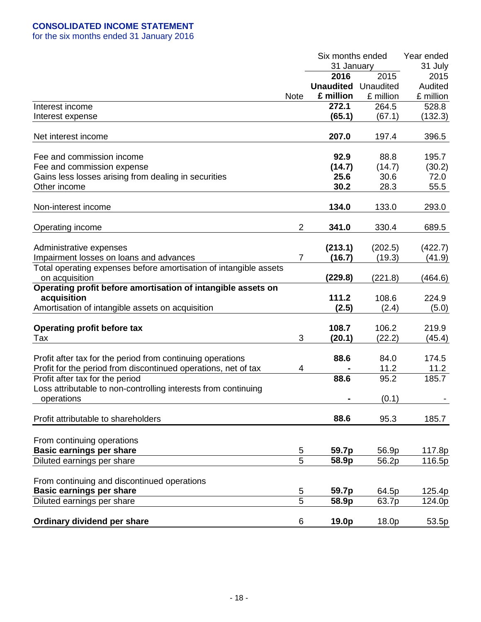for the six months ended 31 January 2016

|                                                                                     |                | Six months ended | Year ended |           |
|-------------------------------------------------------------------------------------|----------------|------------------|------------|-----------|
|                                                                                     |                | 31 January       |            | 31 July   |
|                                                                                     |                | 2016             | 2015       | 2015      |
|                                                                                     |                | <b>Unaudited</b> | Unaudited  | Audited   |
|                                                                                     | <b>Note</b>    | £ million        | £ million  | £ million |
| Interest income                                                                     |                | 272.1            | 264.5      | 528.8     |
| Interest expense                                                                    |                | (65.1)           | (67.1)     | (132.3)   |
| Net interest income                                                                 |                | 207.0            | 197.4      | 396.5     |
| Fee and commission income                                                           |                | 92.9             | 88.8       | 195.7     |
| Fee and commission expense                                                          |                | (14.7)           | (14.7)     | (30.2)    |
| Gains less losses arising from dealing in securities                                |                | 25.6             | 30.6       | 72.0      |
| Other income                                                                        |                | 30.2             | 28.3       | 55.5      |
|                                                                                     |                |                  |            |           |
| Non-interest income                                                                 |                | 134.0            | 133.0      | 293.0     |
| Operating income                                                                    | $\overline{2}$ | 341.0            | 330.4      | 689.5     |
|                                                                                     |                |                  |            |           |
| Administrative expenses                                                             |                | (213.1)          | (202.5)    | (422.7)   |
| Impairment losses on loans and advances                                             | $\overline{7}$ | (16.7)           | (19.3)     | (41.9)    |
| Total operating expenses before amortisation of intangible assets<br>on acquisition |                | (229.8)          | (221.8)    | (464.6)   |
| Operating profit before amortisation of intangible assets on                        |                |                  |            |           |
| acquisition                                                                         |                | 111.2            | 108.6      | 224.9     |
| Amortisation of intangible assets on acquisition                                    |                | (2.5)            | (2.4)      | (5.0)     |
|                                                                                     |                |                  |            |           |
| <b>Operating profit before tax</b>                                                  |                | 108.7            | 106.2      | 219.9     |
| Tax                                                                                 | 3              | (20.1)           | (22.2)     | (45.4)    |
|                                                                                     |                |                  |            |           |
| Profit after tax for the period from continuing operations                          |                | 88.6             | 84.0       | 174.5     |
| Profit for the period from discontinued operations, net of tax                      | 4              |                  | 11.2       | 11.2      |
| Profit after tax for the period                                                     |                | 88.6             | 95.2       | 185.7     |
| Loss attributable to non-controlling interests from continuing                      |                |                  |            |           |
| operations                                                                          |                |                  | (0.1)      |           |
|                                                                                     |                |                  |            |           |
| Profit attributable to shareholders                                                 |                | 88.6             | 95.3       | 185.7     |
|                                                                                     |                |                  |            |           |
| From continuing operations                                                          |                |                  |            |           |
| <b>Basic earnings per share</b>                                                     | 5              | 59.7p            | 56.9p      | 117.8p    |
| Diluted earnings per share                                                          | 5              | 58.9p            | 56.2p      | 116.5p    |
|                                                                                     |                |                  |            |           |
| From continuing and discontinued operations                                         |                |                  |            |           |
| <b>Basic earnings per share</b>                                                     | 5              | 59.7p            | 64.5p      | 125.4p    |
| Diluted earnings per share                                                          | $\overline{5}$ | 58.9p            | 63.7p      | 124.0p    |
| Ordinary dividend per share                                                         | 6              | 19.0p            | 18.0p      | 53.5p     |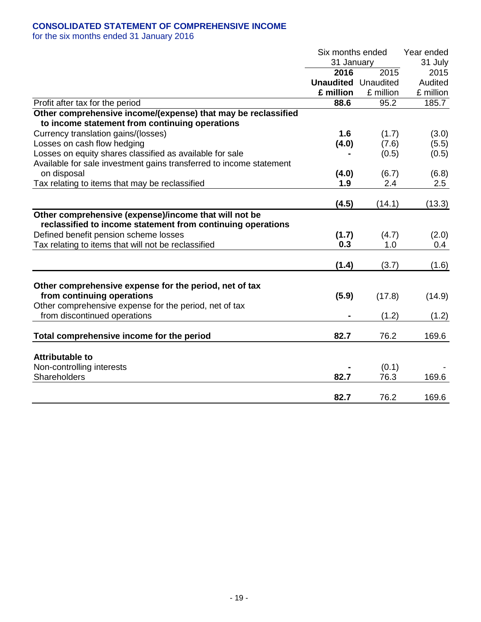# **CONSOLIDATED STATEMENT OF COMPREHENSIVE INCOME**

for the six months ended 31 January 2016

|                                                                     | Six months ended<br>31 January |           | Year ended |
|---------------------------------------------------------------------|--------------------------------|-----------|------------|
|                                                                     |                                |           | 31 July    |
|                                                                     | 2016                           | 2015      | 2015       |
|                                                                     | <b>Unaudited</b> Unaudited     |           | Audited    |
|                                                                     | £ million                      | £ million | £ million  |
| Profit after tax for the period                                     | 88.6                           | 95.2      | 185.7      |
| Other comprehensive income/(expense) that may be reclassified       |                                |           |            |
| to income statement from continuing operations                      |                                |           |            |
| Currency translation gains/(losses)                                 | 1.6                            | (1.7)     | (3.0)      |
| Losses on cash flow hedging                                         | (4.0)                          | (7.6)     | (5.5)      |
| Losses on equity shares classified as available for sale            |                                | (0.5)     | (0.5)      |
| Available for sale investment gains transferred to income statement |                                |           |            |
| on disposal                                                         | (4.0)                          | (6.7)     | (6.8)      |
| Tax relating to items that may be reclassified                      | 1.9                            | 2.4       | 2.5        |
|                                                                     |                                |           |            |
|                                                                     | (4.5)                          | (14.1)    | (13.3)     |
| Other comprehensive (expense)/income that will not be               |                                |           |            |
| reclassified to income statement from continuing operations         |                                |           |            |
| Defined benefit pension scheme losses                               | (1.7)                          | (4.7)     | (2.0)      |
| Tax relating to items that will not be reclassified                 | 0.3                            | 1.0       | 0.4        |
|                                                                     |                                |           |            |
|                                                                     | (1.4)                          | (3.7)     | (1.6)      |
|                                                                     |                                |           |            |
| Other comprehensive expense for the period, net of tax              |                                |           |            |
| from continuing operations                                          | (5.9)                          | (17.8)    | (14.9)     |
| Other comprehensive expense for the period, net of tax              |                                |           |            |
| from discontinued operations                                        |                                | (1.2)     | (1.2)      |
| Total comprehensive income for the period                           | 82.7                           | 76.2      | 169.6      |
|                                                                     |                                |           |            |
| <b>Attributable to</b>                                              |                                |           |            |
| Non-controlling interests                                           |                                | (0.1)     |            |
| Shareholders                                                        | 82.7                           | 76.3      | 169.6      |
|                                                                     |                                |           |            |
|                                                                     | 82.7                           | 76.2      | 169.6      |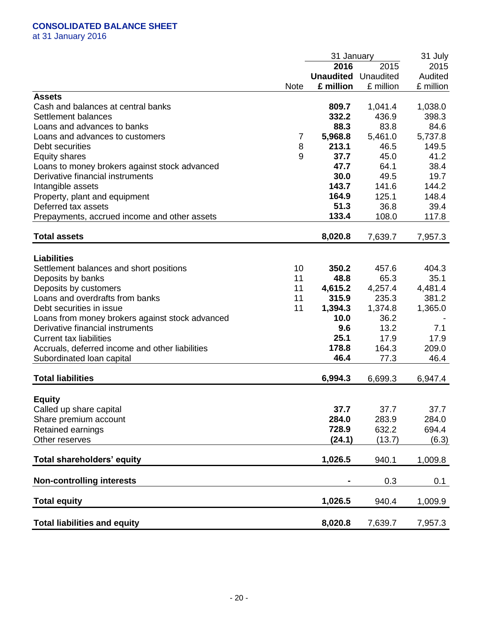# **CONSOLIDATED BALANCE SHEET**

at 31 January 2016

|                                                 |                | 31 January       |           | 31 July   |
|-------------------------------------------------|----------------|------------------|-----------|-----------|
|                                                 |                | 2016             | 2015      | 2015      |
|                                                 |                | <b>Unaudited</b> | Unaudited | Audited   |
|                                                 | <b>Note</b>    | £ million        | £ million | £ million |
| <b>Assets</b>                                   |                |                  |           |           |
| Cash and balances at central banks              |                | 809.7            | 1,041.4   | 1,038.0   |
| Settlement balances                             |                | 332.2            | 436.9     | 398.3     |
| Loans and advances to banks                     |                | 88.3             | 83.8      | 84.6      |
| Loans and advances to customers                 | $\overline{7}$ | 5,968.8          | 5,461.0   | 5,737.8   |
| Debt securities                                 | 8              | 213.1            | 46.5      | 149.5     |
| <b>Equity shares</b>                            | 9              | 37.7             | 45.0      | 41.2      |
|                                                 |                | 47.7             | 64.1      | 38.4      |
| Loans to money brokers against stock advanced   |                | 30.0             |           |           |
| Derivative financial instruments                |                |                  | 49.5      | 19.7      |
| Intangible assets                               |                | 143.7            | 141.6     | 144.2     |
| Property, plant and equipment                   |                | 164.9            | 125.1     | 148.4     |
| Deferred tax assets                             |                | 51.3             | 36.8      | 39.4      |
| Prepayments, accrued income and other assets    |                | 133.4            | 108.0     | 117.8     |
| <b>Total assets</b>                             |                | 8,020.8          | 7,639.7   | 7,957.3   |
|                                                 |                |                  |           |           |
| <b>Liabilities</b>                              |                |                  |           |           |
| Settlement balances and short positions         | 10             | 350.2            | 457.6     | 404.3     |
| Deposits by banks                               | 11             | 48.8             | 65.3      | 35.1      |
| Deposits by customers                           | 11             | 4,615.2          | 4,257.4   | 4,481.4   |
| Loans and overdrafts from banks                 | 11             | 315.9            | 235.3     | 381.2     |
| Debt securities in issue                        | 11             | 1,394.3          | 1,374.8   | 1,365.0   |
| Loans from money brokers against stock advanced |                | 10.0             | 36.2      |           |
| Derivative financial instruments                |                | 9.6              | 13.2      | 7.1       |
| <b>Current tax liabilities</b>                  |                | 25.1             | 17.9      | 17.9      |
| Accruals, deferred income and other liabilities |                | 178.8            | 164.3     | 209.0     |
| Subordinated Ioan capital                       |                | 46.4             | 77.3      | 46.4      |
| <b>Total liabilities</b>                        |                | 6,994.3          | 6,699.3   | 6,947.4   |
|                                                 |                |                  |           |           |
| <b>Equity</b>                                   |                |                  |           |           |
| Called up share capital                         |                | 37.7             | 37.7      | 37.7      |
| Share premium account                           |                | 284.0            | 283.9     | 284.0     |
| Retained earnings                               |                | 728.9            | 632.2     | 694.4     |
| Other reserves                                  |                | (24.1)           | (13.7)    | (6.3)     |
|                                                 |                |                  |           |           |
| Total shareholders' equity                      |                | 1,026.5          | 940.1     | 1,009.8   |
| <b>Non-controlling interests</b>                |                |                  | 0.3       | 0.1       |
| <b>Total equity</b>                             |                | 1,026.5          | 940.4     | 1,009.9   |
|                                                 |                |                  |           |           |
| <b>Total liabilities and equity</b>             |                | 8,020.8          | 7,639.7   | 7,957.3   |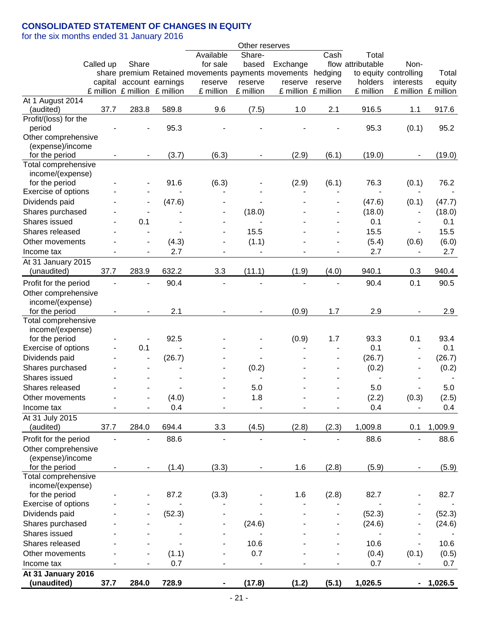# **CONSOLIDATED STATEMENT OF CHANGES IN EQUITY**

for the six months ended 31 January 2016

|                       |           |       |                               |                                                     | Other reserves               |          |                     |                   |                              |                     |
|-----------------------|-----------|-------|-------------------------------|-----------------------------------------------------|------------------------------|----------|---------------------|-------------------|------------------------------|---------------------|
|                       |           |       |                               | Available                                           | Share-                       |          | Cash                | Total             |                              |                     |
|                       | Called up | Share |                               | for sale                                            | based                        | Exchange |                     | flow attributable | Non-                         |                     |
|                       |           |       |                               | share premium Retained movements payments movements |                              |          | hedging             |                   | to equity controlling        | Total               |
|                       |           |       | capital account earnings      | reserve                                             | reserve                      | reserve  | reserve             | holders           | interests                    | equity              |
|                       |           |       | £ million £ million £ million | £ million                                           | £ million                    |          | £ million £ million | £ million         |                              | £ million £ million |
| At 1 August 2014      |           |       |                               |                                                     |                              |          |                     |                   |                              |                     |
| (audited)             | 37.7      | 283.8 | 589.8                         | 9.6                                                 | (7.5)                        | 1.0      | 2.1                 | 916.5             | 1.1                          | 917.6               |
| Profit/(loss) for the |           |       |                               |                                                     |                              |          |                     |                   |                              |                     |
| period                |           |       | 95.3                          |                                                     |                              |          |                     | 95.3              | (0.1)                        | 95.2                |
| Other comprehensive   |           |       |                               |                                                     |                              |          |                     |                   |                              |                     |
| (expense)/income      |           |       |                               |                                                     |                              |          |                     |                   |                              |                     |
| for the period        |           |       | (3.7)                         | (6.3)                                               |                              | (2.9)    | (6.1)               | (19.0)            |                              | (19.0)              |
| Total comprehensive   |           |       |                               |                                                     |                              |          |                     |                   |                              |                     |
| income/(expense)      |           |       |                               |                                                     |                              |          |                     |                   |                              |                     |
| for the period        |           |       | 91.6                          | (6.3)                                               |                              | (2.9)    | (6.1)               | 76.3              | (0.1)                        | 76.2                |
| Exercise of options   |           |       |                               |                                                     |                              |          |                     |                   |                              |                     |
| Dividends paid        |           |       | (47.6)                        |                                                     |                              |          |                     | (47.6)            | (0.1)                        | (47.7)              |
| Shares purchased      |           |       |                               |                                                     | (18.0)                       |          |                     | (18.0)            | $\overline{\phantom{a}}$     | (18.0)              |
| Shares issued         |           | 0.1   |                               |                                                     |                              |          |                     | 0.1               | $\qquad \qquad \blacksquare$ | 0.1                 |
| Shares released       |           |       |                               |                                                     | 15.5                         |          |                     | 15.5              |                              | 15.5                |
| Other movements       |           |       | (4.3)                         |                                                     | (1.1)                        |          |                     | (5.4)             | (0.6)                        | (6.0)               |
| Income tax            |           |       | 2.7                           |                                                     | $\qquad \qquad \blacksquare$ |          |                     | 2.7               |                              | 2.7                 |
| At 31 January 2015    |           |       |                               |                                                     |                              |          |                     |                   |                              |                     |
| (unaudited)           | 37.7      | 283.9 | 632.2                         | 3.3                                                 | (11.1)                       | (1.9)    | (4.0)               | 940.1             | 0.3                          | 940.4               |
| Profit for the period |           |       | 90.4                          |                                                     |                              |          |                     | 90.4              | 0.1                          | 90.5                |
| Other comprehensive   |           |       |                               |                                                     |                              |          |                     |                   |                              |                     |
| income/(expense)      |           |       |                               |                                                     |                              |          |                     |                   |                              |                     |
| for the period        |           |       | 2.1                           |                                                     |                              | (0.9)    | 1.7                 | 2.9               |                              | 2.9                 |
| Total comprehensive   |           |       |                               |                                                     |                              |          |                     |                   |                              |                     |
| income/(expense)      |           |       |                               |                                                     |                              |          |                     |                   |                              |                     |
| for the period        |           |       | 92.5                          |                                                     |                              | (0.9)    | 1.7                 | 93.3              | 0.1                          | 93.4                |
| Exercise of options   |           | 0.1   |                               |                                                     |                              |          |                     | 0.1               |                              | 0.1                 |
| Dividends paid        |           |       | (26.7)                        |                                                     |                              |          |                     | (26.7)            |                              | (26.7)              |
| Shares purchased      |           |       |                               |                                                     | (0.2)                        |          |                     | (0.2)             |                              | (0.2)               |
| Shares issued         |           |       |                               |                                                     |                              |          |                     |                   |                              |                     |
| Shares released       |           |       |                               |                                                     | 5.0                          |          |                     | 5.0               |                              | 5.0                 |
|                       |           |       |                               |                                                     |                              |          |                     |                   |                              |                     |
| Other movements       |           |       | (4.0)                         |                                                     | 1.8                          |          |                     | (2.2)             | (0.3)                        | (2.5)               |
| Income tax            |           |       | 0.4                           |                                                     |                              |          |                     | 0.4               |                              | 0.4                 |
| At 31 July 2015       |           |       |                               |                                                     |                              |          |                     |                   |                              |                     |
| (audited)             | 37.7      | 284.0 | 694.4                         | 3.3                                                 | (4.5)                        | (2.8)    | (2.3)               | 1,009.8           | 0.1                          | 1,009.9             |
| Profit for the period |           |       | 88.6                          |                                                     |                              |          |                     | 88.6              |                              | 88.6                |
| Other comprehensive   |           |       |                               |                                                     |                              |          |                     |                   |                              |                     |
| (expense)/income      |           |       |                               |                                                     |                              |          |                     |                   |                              |                     |
| for the period        |           |       | (1.4)                         | (3.3)                                               |                              | 1.6      | (2.8)               | (5.9)             |                              | (5.9)               |
| Total comprehensive   |           |       |                               |                                                     |                              |          |                     |                   |                              |                     |
| income/(expense)      |           |       |                               |                                                     |                              |          |                     |                   |                              |                     |
| for the period        |           |       | 87.2                          | (3.3)                                               |                              | 1.6      | (2.8)               | 82.7              |                              | 82.7                |
| Exercise of options   |           |       |                               |                                                     |                              |          |                     |                   |                              |                     |
| Dividends paid        |           |       | (52.3)                        |                                                     |                              |          |                     | (52.3)            |                              | (52.3)              |
| Shares purchased      |           |       |                               |                                                     | (24.6)                       |          |                     | (24.6)            |                              | (24.6)              |
| Shares issued         |           |       |                               |                                                     |                              |          |                     |                   |                              |                     |
| Shares released       |           |       |                               |                                                     | 10.6                         |          |                     | 10.6              | ÷,                           | 10.6                |
| Other movements       |           |       | (1.1)                         |                                                     | 0.7                          |          |                     | (0.4)             | (0.1)                        | (0.5)               |
|                       |           |       | 0.7                           |                                                     |                              |          |                     | 0.7               |                              |                     |
| Income tax            |           |       |                               |                                                     |                              |          |                     |                   | $\overline{\phantom{a}}$     | 0.7                 |
| At 31 January 2016    |           |       |                               |                                                     |                              |          |                     |                   |                              |                     |
| (unaudited)           | 37.7      | 284.0 | 728.9                         |                                                     | (17.8)                       | (1.2)    | (5.1)               | 1,026.5           | ۰                            | 1,026.5             |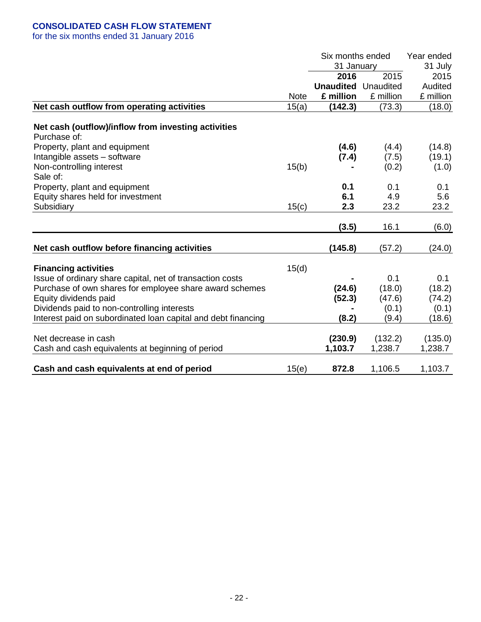# **CONSOLIDATED CASH FLOW STATEMENT**

for the six months ended 31 January 2016

|                                                               |             | Six months ended | Year ended |           |
|---------------------------------------------------------------|-------------|------------------|------------|-----------|
|                                                               |             | 31 January       |            | 31 July   |
|                                                               |             | 2016             | 2015       | 2015      |
|                                                               |             | <b>Unaudited</b> | Unaudited  | Audited   |
|                                                               | <b>Note</b> | £ million        | £ million  | £ million |
| Net cash outflow from operating activities                    | 15(a)       | (142.3)          | (73.3)     | (18.0)    |
| Net cash (outflow)/inflow from investing activities           |             |                  |            |           |
| Purchase of:                                                  |             |                  |            |           |
| Property, plant and equipment                                 |             | (4.6)            | (4.4)      | (14.8)    |
| Intangible assets - software                                  |             | (7.4)            | (7.5)      | (19.1)    |
| Non-controlling interest                                      | 15(b)       |                  | (0.2)      | (1.0)     |
| Sale of:                                                      |             |                  |            |           |
| Property, plant and equipment                                 |             | 0.1              | 0.1        | 0.1       |
| Equity shares held for investment                             |             | 6.1              | 4.9        | 5.6       |
| Subsidiary                                                    | 15(c)       | 2.3              | 23.2       | 23.2      |
|                                                               |             | (3.5)            | 16.1       | (6.0)     |
|                                                               |             |                  |            |           |
| Net cash outflow before financing activities                  |             | (145.8)          | (57.2)     | (24.0)    |
| <b>Financing activities</b>                                   | 15(d)       |                  |            |           |
| Issue of ordinary share capital, net of transaction costs     |             |                  | 0.1        | 0.1       |
| Purchase of own shares for employee share award schemes       |             | (24.6)           | (18.0)     | (18.2)    |
| Equity dividends paid                                         |             | (52.3)           | (47.6)     | (74.2)    |
| Dividends paid to non-controlling interests                   |             |                  | (0.1)      | (0.1)     |
| Interest paid on subordinated loan capital and debt financing |             | (8.2)            | (9.4)      | (18.6)    |
| Net decrease in cash                                          |             | (230.9)          | (132.2)    | (135.0)   |
| Cash and cash equivalents at beginning of period              |             | 1,103.7          | 1,238.7    | 1,238.7   |
|                                                               |             |                  |            |           |
| Cash and cash equivalents at end of period                    | 15(e)       | 872.8            | 1,106.5    | 1,103.7   |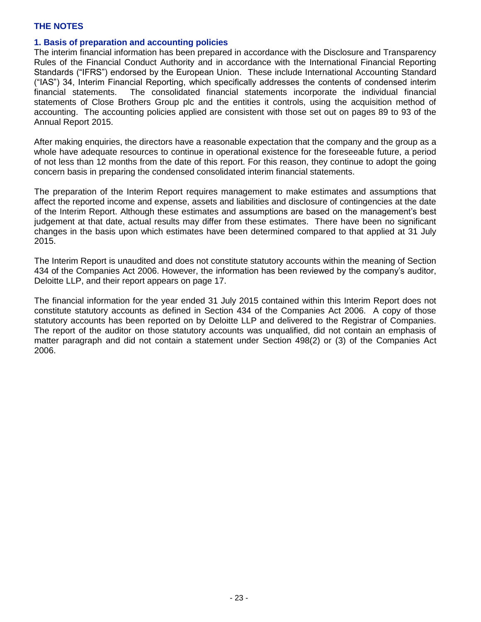## **1. Basis of preparation and accounting policies**

The interim financial information has been prepared in accordance with the Disclosure and Transparency Rules of the Financial Conduct Authority and in accordance with the International Financial Reporting Standards ("IFRS") endorsed by the European Union. These include International Accounting Standard ("IAS") 34, Interim Financial Reporting, which specifically addresses the contents of condensed interim financial statements. The consolidated financial statements incorporate the individual financial statements of Close Brothers Group plc and the entities it controls, using the acquisition method of accounting. The accounting policies applied are consistent with those set out on pages 89 to 93 of the Annual Report 2015.

After making enquiries, the directors have a reasonable expectation that the company and the group as a whole have adequate resources to continue in operational existence for the foreseeable future, a period of not less than 12 months from the date of this report. For this reason, they continue to adopt the going concern basis in preparing the condensed consolidated interim financial statements.

The preparation of the Interim Report requires management to make estimates and assumptions that affect the reported income and expense, assets and liabilities and disclosure of contingencies at the date of the Interim Report. Although these estimates and assumptions are based on the management's best judgement at that date, actual results may differ from these estimates. There have been no significant changes in the basis upon which estimates have been determined compared to that applied at 31 July 2015.

The Interim Report is unaudited and does not constitute statutory accounts within the meaning of Section 434 of the Companies Act 2006. However, the information has been reviewed by the company's auditor, Deloitte LLP, and their report appears on page 17.

The financial information for the year ended 31 July 2015 contained within this Interim Report does not constitute statutory accounts as defined in Section 434 of the Companies Act 2006. A copy of those statutory accounts has been reported on by Deloitte LLP and delivered to the Registrar of Companies. The report of the auditor on those statutory accounts was unqualified, did not contain an emphasis of matter paragraph and did not contain a statement under Section 498(2) or (3) of the Companies Act 2006.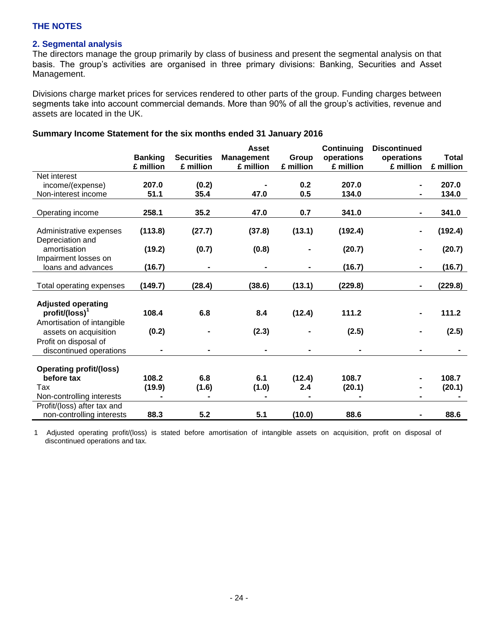# **2. Segmental analysis**

The directors manage the group primarily by class of business and present the segmental analysis on that basis. The group's activities are organised in three primary divisions: Banking, Securities and Asset Management.

Divisions charge market prices for services rendered to other parts of the group. Funding charges between segments take into account commercial demands. More than 90% of all the group's activities, revenue and assets are located in the UK.

|                                  |                |                   | <b>Asset</b>      |           | Continuing                   | <b>Discontinued</b> |              |
|----------------------------------|----------------|-------------------|-------------------|-----------|------------------------------|---------------------|--------------|
|                                  | <b>Banking</b> | <b>Securities</b> | <b>Management</b> | Group     | operations                   | operations          | <b>Total</b> |
|                                  | £ million      | £ million         | £ million         | £ million | £ million                    | £ million           | £ million    |
| Net interest                     |                |                   |                   |           |                              |                     |              |
| income/(expense)                 | 207.0          | (0.2)             |                   | 0.2       | 207.0                        |                     | 207.0        |
| Non-interest income              | 51.1           | 35.4              | 47.0              | 0.5       | 134.0                        |                     | 134.0        |
| Operating income                 | 258.1          | 35.2              | 47.0              | 0.7       | 341.0                        |                     | 341.0        |
|                                  |                |                   |                   |           |                              |                     |              |
| Administrative expenses          | (113.8)        | (27.7)            | (37.8)            | (13.1)    | (192.4)                      |                     | (192.4)      |
| Depreciation and<br>amortisation | (19.2)         | (0.7)             | (0.8)             |           | (20.7)                       |                     | (20.7)       |
| Impairment losses on             |                |                   |                   |           |                              |                     |              |
| loans and advances               | (16.7)         | $\blacksquare$    | -                 |           | (16.7)                       |                     | (16.7)       |
|                                  |                |                   |                   |           |                              |                     |              |
| Total operating expenses         | (149.7)        | (28.4)            | (38.6)            | (13.1)    | (229.8)                      |                     | (229.8)      |
|                                  |                |                   |                   |           |                              |                     |              |
| <b>Adjusted operating</b>        |                |                   |                   |           |                              |                     |              |
| $profit/(loss)^1$                | 108.4          | 6.8               | 8.4               | (12.4)    | 111.2                        |                     | 111.2        |
| Amortisation of intangible       |                |                   |                   |           |                              |                     |              |
| assets on acquisition            | (0.2)          |                   | (2.3)             |           | (2.5)                        |                     | (2.5)        |
| Profit on disposal of            |                |                   |                   |           |                              |                     |              |
| discontinued operations          | $\blacksquare$ | $\blacksquare$    | $\blacksquare$    |           | $\qquad \qquad \blacksquare$ |                     |              |
|                                  |                |                   |                   |           |                              |                     |              |
| <b>Operating profit/(loss)</b>   |                |                   |                   |           |                              |                     |              |
| before tax                       | 108.2          | 6.8               | 6.1               | (12.4)    | 108.7                        |                     | 108.7        |
| Tax                              | (19.9)         | (1.6)             | (1.0)             | 2.4       | (20.1)                       |                     | (20.1)       |
| Non-controlling interests        |                |                   |                   |           |                              |                     |              |
| Profit/(loss) after tax and      |                |                   |                   |           |                              |                     |              |
| non-controlling interests        | 88.3           | 5.2               | 5.1               | (10.0)    | 88.6                         |                     | 88.6         |

## **Summary Income Statement for the six months ended 31 January 2016**

1 Adjusted operating profit/(loss) is stated before amortisation of intangible assets on acquisition, profit on disposal of discontinued operations and tax.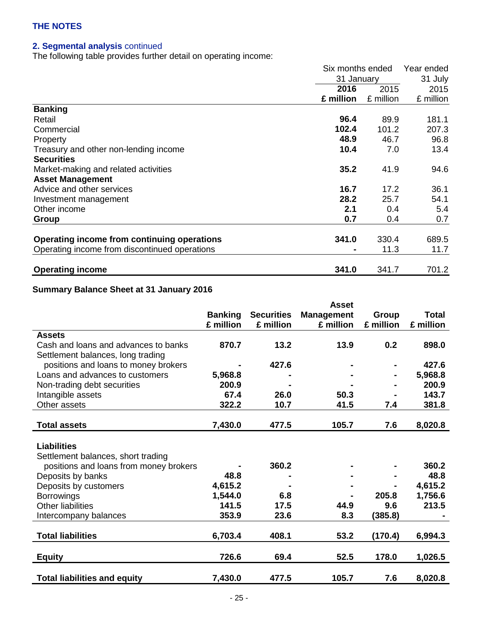# **2. Segmental analysis** continued

The following table provides further detail on operating income:

|                                               | Six months ended |           |           |
|-----------------------------------------------|------------------|-----------|-----------|
|                                               | 31 January       |           | 31 July   |
|                                               | 2016             | 2015      | 2015      |
|                                               | £ million        | £ million | £ million |
| <b>Banking</b>                                |                  |           |           |
| Retail                                        | 96.4             | 89.9      | 181.1     |
| Commercial                                    | 102.4            | 101.2     | 207.3     |
| Property                                      | 48.9             | 46.7      | 96.8      |
| Treasury and other non-lending income         | 10.4             | 7.0       | 13.4      |
| <b>Securities</b>                             |                  |           |           |
| Market-making and related activities          | 35.2             | 41.9      | 94.6      |
| <b>Asset Management</b>                       |                  |           |           |
| Advice and other services                     | 16.7             | 17.2      | 36.1      |
| Investment management                         | 28.2             | 25.7      | 54.1      |
| Other income                                  | 2.1              | 0.4       | 5.4       |
| Group                                         | 0.7              | 0.4       | 0.7       |
|                                               |                  |           |           |
| Operating income from continuing operations   | 341.0            | 330.4     | 689.5     |
| Operating income from discontinued operations |                  | 11.3      | 11.7      |
| <b>Operating income</b>                       | 341.0            | 341.7     | 701.2     |

# **Summary Balance Sheet at 31 January 2016**

|                                        |                |                   | <b>Asset</b>      |           |              |
|----------------------------------------|----------------|-------------------|-------------------|-----------|--------------|
|                                        | <b>Banking</b> | <b>Securities</b> | <b>Management</b> | Group     | <b>Total</b> |
|                                        | £ million      | £ million         | £ million         | £ million | £ million    |
| <b>Assets</b>                          |                |                   |                   |           |              |
| Cash and loans and advances to banks   | 870.7          | 13.2              | 13.9              | 0.2       | 898.0        |
| Settlement balances, long trading      |                |                   |                   |           |              |
| positions and loans to money brokers   |                | 427.6             |                   |           | 427.6        |
| Loans and advances to customers        | 5,968.8        |                   |                   |           | 5,968.8      |
| Non-trading debt securities            | 200.9          |                   |                   |           | 200.9        |
| Intangible assets                      | 67.4           | 26.0              | 50.3              |           | 143.7        |
| Other assets                           | 322.2          | 10.7              | 41.5              | 7.4       | 381.8        |
|                                        |                |                   |                   |           |              |
| <b>Total assets</b>                    | 7,430.0        | 477.5             | 105.7             | 7.6       | 8,020.8      |
|                                        |                |                   |                   |           |              |
| <b>Liabilities</b>                     |                |                   |                   |           |              |
| Settlement balances, short trading     |                |                   |                   |           |              |
| positions and loans from money brokers |                | 360.2             |                   |           | 360.2        |
| Deposits by banks                      | 48.8           |                   |                   |           | 48.8         |
| Deposits by customers                  | 4,615.2        |                   |                   |           | 4,615.2      |
| <b>Borrowings</b>                      | 1,544.0        | 6.8               |                   | 205.8     | 1,756.6      |
| <b>Other liabilities</b>               | 141.5          | 17.5              | 44.9              | 9.6       | 213.5        |
| Intercompany balances                  | 353.9          | 23.6              | 8.3               | (385.8)   |              |
|                                        |                |                   |                   |           |              |
| <b>Total liabilities</b>               | 6,703.4        | 408.1             | 53.2              | (170.4)   | 6,994.3      |
|                                        |                |                   |                   |           |              |
| <b>Equity</b>                          | 726.6          | 69.4              | 52.5              | 178.0     | 1,026.5      |
|                                        |                |                   |                   |           |              |
| <b>Total liabilities and equity</b>    | 7,430.0        | 477.5             | 105.7             | 7.6       | 8,020.8      |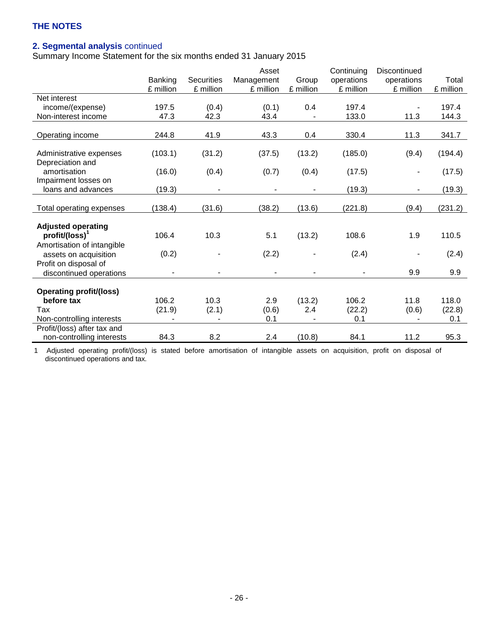# **2. Segmental analysis** continued

Summary Income Statement for the six months ended 31 January 2015

|                                |           |            | Asset          |                          | Continuing | Discontinued             |           |
|--------------------------------|-----------|------------|----------------|--------------------------|------------|--------------------------|-----------|
|                                | Banking   | Securities | Management     | Group                    | operations | operations               | Total     |
|                                | £ million | £ million  | £ million      | £ million                | £ million  | £ million                | £ million |
| Net interest                   |           |            |                |                          |            |                          |           |
| income/(expense)               | 197.5     | (0.4)      | (0.1)          | 0.4                      | 197.4      |                          | 197.4     |
| Non-interest income            | 47.3      | 42.3       | 43.4           |                          | 133.0      | 11.3                     | 144.3     |
|                                |           |            |                |                          |            |                          |           |
| Operating income               | 244.8     | 41.9       | 43.3           | 0.4                      | 330.4      | 11.3                     | 341.7     |
|                                |           |            |                |                          |            |                          |           |
| Administrative expenses        | (103.1)   | (31.2)     | (37.5)         | (13.2)                   | (185.0)    | (9.4)                    | (194.4)   |
| Depreciation and               |           |            |                |                          |            |                          |           |
| amortisation                   | (16.0)    | (0.4)      | (0.7)          | (0.4)                    | (17.5)     |                          | (17.5)    |
| Impairment losses on           |           |            |                |                          |            |                          |           |
| loans and advances             | (19.3)    | ۰          | $\blacksquare$ | $\overline{\phantom{a}}$ | (19.3)     | $\overline{\phantom{a}}$ | (19.3)    |
|                                |           |            |                |                          |            |                          |           |
| Total operating expenses       | (138.4)   | (31.6)     | (38.2)         | (13.6)                   | (221.8)    | (9.4)                    | (231.2)   |
|                                |           |            |                |                          |            |                          |           |
| <b>Adjusted operating</b>      |           |            |                |                          |            |                          |           |
| $profit/(loss)^1$              | 106.4     | 10.3       | 5.1            | (13.2)                   | 108.6      | 1.9                      | 110.5     |
| Amortisation of intangible     |           |            |                |                          |            |                          |           |
| assets on acquisition          | (0.2)     |            | (2.2)          |                          | (2.4)      |                          | (2.4)     |
| Profit on disposal of          |           |            |                |                          |            |                          |           |
| discontinued operations        |           |            |                |                          |            | 9.9                      | 9.9       |
|                                |           |            |                |                          |            |                          |           |
| <b>Operating profit/(loss)</b> |           |            |                |                          |            |                          |           |
| before tax                     | 106.2     | 10.3       | 2.9            | (13.2)                   | 106.2      | 11.8                     | 118.0     |
| Tax                            | (21.9)    | (2.1)      | (0.6)          | 2.4                      | (22.2)     | (0.6)                    | (22.8)    |
| Non-controlling interests      |           |            | 0.1            |                          | 0.1        |                          | 0.1       |
| Profit/(loss) after tax and    |           |            |                |                          |            |                          |           |
| non-controlling interests      | 84.3      | 8.2        | 2.4            | (10.8)                   | 84.1       | 11.2                     | 95.3      |

1 Adjusted operating profit/(loss) is stated before amortisation of intangible assets on acquisition, profit on disposal of discontinued operations and tax.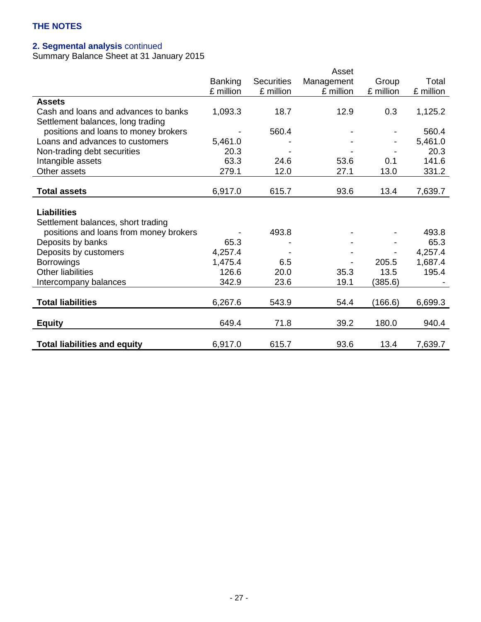# **2. Segmental analysis** continued

Summary Balance Sheet at 31 January 2015

|                                        |                |                   | Asset      |           |           |
|----------------------------------------|----------------|-------------------|------------|-----------|-----------|
|                                        | <b>Banking</b> | <b>Securities</b> | Management | Group     | Total     |
|                                        | £ million      | £ million         | £ million  | £ million | £ million |
| <b>Assets</b>                          |                |                   |            |           |           |
| Cash and loans and advances to banks   | 1,093.3        | 18.7              | 12.9       | 0.3       | 1,125.2   |
| Settlement balances, long trading      |                |                   |            |           |           |
| positions and loans to money brokers   |                | 560.4             |            |           | 560.4     |
| Loans and advances to customers        | 5,461.0        |                   |            |           | 5,461.0   |
| Non-trading debt securities            | 20.3           |                   |            |           | 20.3      |
| Intangible assets                      | 63.3           | 24.6              | 53.6       | 0.1       | 141.6     |
| Other assets                           | 279.1          | 12.0              | 27.1       | 13.0      | 331.2     |
|                                        |                |                   |            |           |           |
| <b>Total assets</b>                    | 6,917.0        | 615.7             | 93.6       | 13.4      | 7,639.7   |
|                                        |                |                   |            |           |           |
| <b>Liabilities</b>                     |                |                   |            |           |           |
| Settlement balances, short trading     |                |                   |            |           |           |
| positions and loans from money brokers |                | 493.8             |            |           | 493.8     |
| Deposits by banks                      | 65.3           |                   |            |           | 65.3      |
| Deposits by customers                  | 4,257.4        |                   |            |           | 4,257.4   |
| <b>Borrowings</b>                      | 1,475.4        | 6.5               |            | 205.5     | 1,687.4   |
| <b>Other liabilities</b>               | 126.6          | 20.0              | 35.3       | 13.5      | 195.4     |
| Intercompany balances                  | 342.9          | 23.6              | 19.1       | (385.6)   |           |
|                                        |                |                   |            |           |           |
| <b>Total liabilities</b>               | 6,267.6        | 543.9             | 54.4       | (166.6)   | 6,699.3   |
|                                        |                |                   |            |           |           |
| <b>Equity</b>                          | 649.4          | 71.8              | 39.2       | 180.0     | 940.4     |
|                                        |                |                   |            |           |           |
| <b>Total liabilities and equity</b>    | 6,917.0        | 615.7             | 93.6       | 13.4      | 7,639.7   |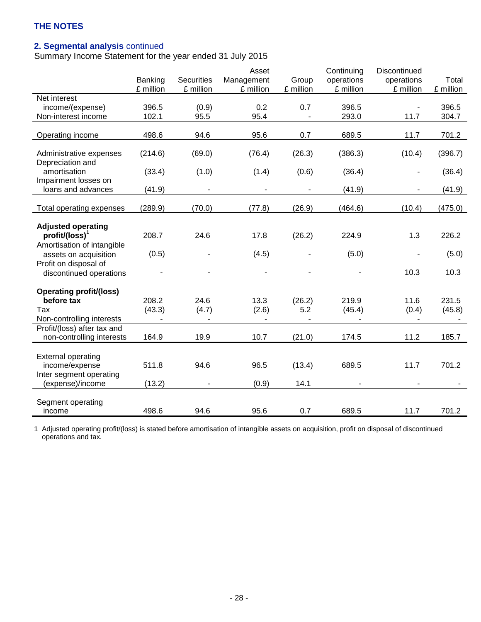# **2. Segmental analysis** continued

Summary Income Statement for the year ended 31 July 2015

|                                |           |                   | Asset          |           | Continuing | Discontinued   |           |
|--------------------------------|-----------|-------------------|----------------|-----------|------------|----------------|-----------|
|                                | Banking   | <b>Securities</b> | Management     | Group     | operations | operations     | Total     |
|                                | £ million | £ million         | £ million      | £ million | £ million  | £ million      | £ million |
| Net interest                   |           |                   |                |           |            |                |           |
| income/(expense)               | 396.5     | (0.9)             | 0.2            | 0.7       | 396.5      |                | 396.5     |
| Non-interest income            | 102.1     | 95.5              | 95.4           |           | 293.0      | 11.7           | 304.7     |
|                                |           |                   |                |           |            |                |           |
| Operating income               | 498.6     | 94.6              | 95.6           | 0.7       | 689.5      | 11.7           | 701.2     |
|                                |           |                   |                |           |            |                |           |
| Administrative expenses        | (214.6)   | (69.0)            | (76.4)         | (26.3)    | (386.3)    | (10.4)         | (396.7)   |
| Depreciation and               |           |                   |                |           |            |                |           |
| amortisation                   | (33.4)    | (1.0)             | (1.4)          | (0.6)     | (36.4)     | $\blacksquare$ | (36.4)    |
| Impairment losses on           |           |                   |                |           |            |                |           |
| loans and advances             | (41.9)    |                   |                |           | (41.9)     |                | (41.9)    |
|                                |           |                   |                |           |            |                |           |
| Total operating expenses       | (289.9)   | (70.0)            | (77.8)         | (26.9)    | (464.6)    | (10.4)         | (475.0)   |
|                                |           |                   |                |           |            |                |           |
| <b>Adjusted operating</b>      |           |                   |                |           |            |                |           |
| $profit/(loss)^1$              | 208.7     | 24.6              | 17.8           | (26.2)    | 224.9      | 1.3            | 226.2     |
| Amortisation of intangible     |           |                   |                |           |            |                |           |
| assets on acquisition          | (0.5)     |                   | (4.5)          |           | (5.0)      |                | (5.0)     |
| Profit on disposal of          |           |                   |                |           |            |                |           |
| discontinued operations        |           |                   |                |           |            | 10.3           | 10.3      |
|                                |           |                   |                |           |            |                |           |
| <b>Operating profit/(loss)</b> |           |                   |                |           |            |                |           |
| before tax                     | 208.2     | 24.6              | 13.3           | (26.2)    | 219.9      | 11.6           | 231.5     |
| Tax                            | (43.3)    | (4.7)             | (2.6)          | 5.2       | (45.4)     | (0.4)          | (45.8)    |
| Non-controlling interests      |           |                   | $\blacksquare$ |           |            |                |           |
| Profit/(loss) after tax and    |           |                   |                |           |            |                |           |
| non-controlling interests      | 164.9     | 19.9              | 10.7           | (21.0)    | 174.5      | 11.2           | 185.7     |
|                                |           |                   |                |           |            |                |           |
| <b>External operating</b>      |           |                   |                |           |            |                |           |
| income/expense                 | 511.8     | 94.6              | 96.5           | (13.4)    | 689.5      | 11.7           | 701.2     |
| Inter segment operating        |           |                   |                |           |            |                |           |
| (expense)/income               | (13.2)    |                   | (0.9)          | 14.1      |            |                |           |
|                                |           |                   |                |           |            |                |           |
| Segment operating              |           |                   |                |           |            |                |           |
| income                         | 498.6     | 94.6              | 95.6           | 0.7       | 689.5      | 11.7           | 701.2     |

1 Adjusted operating profit/(loss) is stated before amortisation of intangible assets on acquisition, profit on disposal of discontinued operations and tax.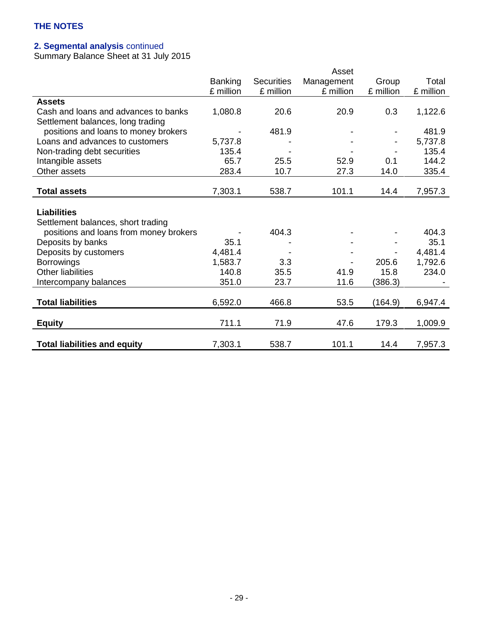## **2. Segmental analysis** continued

Summary Balance Sheet at 31 July 2015

|                                        |                |                   | Asset      |           |           |
|----------------------------------------|----------------|-------------------|------------|-----------|-----------|
|                                        | <b>Banking</b> | <b>Securities</b> | Management | Group     | Total     |
|                                        | £ million      | £ million         | £ million  | £ million | £ million |
| <b>Assets</b>                          |                |                   |            |           |           |
| Cash and loans and advances to banks   | 1,080.8        | 20.6              | 20.9       | 0.3       | 1,122.6   |
| Settlement balances, long trading      |                |                   |            |           |           |
| positions and loans to money brokers   |                | 481.9             |            |           | 481.9     |
| Loans and advances to customers        | 5,737.8        |                   |            |           | 5,737.8   |
| Non-trading debt securities            | 135.4          |                   |            |           | 135.4     |
| Intangible assets                      | 65.7           | 25.5              | 52.9       | 0.1       | 144.2     |
| Other assets                           | 283.4          | 10.7              | 27.3       | 14.0      | 335.4     |
|                                        |                |                   |            |           |           |
| <b>Total assets</b>                    | 7,303.1        | 538.7             | 101.1      | 14.4      | 7,957.3   |
|                                        |                |                   |            |           |           |
| <b>Liabilities</b>                     |                |                   |            |           |           |
| Settlement balances, short trading     |                |                   |            |           |           |
| positions and loans from money brokers |                | 404.3             |            |           | 404.3     |
| Deposits by banks                      | 35.1           |                   |            |           | 35.1      |
| Deposits by customers                  | 4,481.4        |                   |            |           | 4,481.4   |
| <b>Borrowings</b>                      | 1,583.7        | 3.3               |            | 205.6     | 1,792.6   |
| <b>Other liabilities</b>               | 140.8          | 35.5              | 41.9       | 15.8      | 234.0     |
| Intercompany balances                  | 351.0          | 23.7              | 11.6       | (386.3)   |           |
|                                        |                |                   |            |           |           |
| <b>Total liabilities</b>               | 6,592.0        | 466.8             | 53.5       | (164.9)   | 6,947.4   |
|                                        |                |                   |            |           |           |
| <b>Equity</b>                          | 711.1          | 71.9              | 47.6       | 179.3     | 1,009.9   |
|                                        |                |                   |            |           |           |
| <b>Total liabilities and equity</b>    | 7,303.1        | 538.7             | 101.1      | 14.4      | 7,957.3   |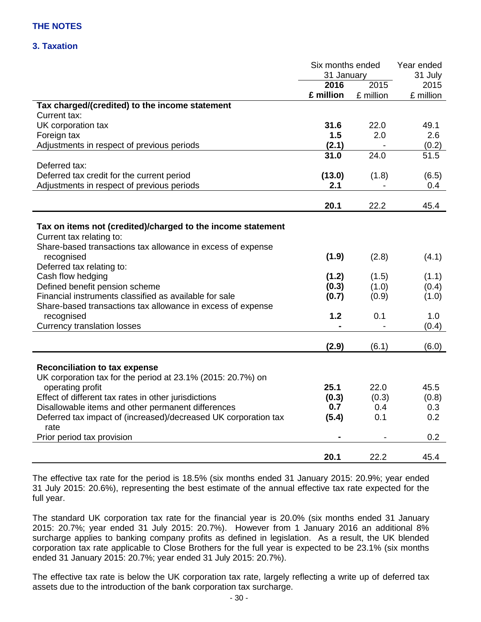# **3. Taxation**

|                                                                         | Six months ended |           | Year ended   |  |
|-------------------------------------------------------------------------|------------------|-----------|--------------|--|
|                                                                         | 31 January       |           | 31 July      |  |
|                                                                         | 2016             | 2015      | 2015         |  |
|                                                                         | £ million        | £ million | £ million    |  |
| Tax charged/(credited) to the income statement                          |                  |           |              |  |
| Current tax:                                                            |                  |           |              |  |
| UK corporation tax                                                      | 31.6             | 22.0      | 49.1         |  |
| Foreign tax                                                             | 1.5              | 2.0       | 2.6          |  |
| Adjustments in respect of previous periods                              | (2.1)            |           | (0.2)        |  |
|                                                                         | 31.0             | 24.0      | 51.5         |  |
| Deferred tax:                                                           |                  |           |              |  |
| Deferred tax credit for the current period                              | (13.0)           | (1.8)     | (6.5)        |  |
| Adjustments in respect of previous periods                              | 2.1              |           | 0.4          |  |
|                                                                         |                  |           |              |  |
|                                                                         | 20.1             | 22.2      | 45.4         |  |
|                                                                         |                  |           |              |  |
| Tax on items not (credited)/charged to the income statement             |                  |           |              |  |
| Current tax relating to:                                                |                  |           |              |  |
| Share-based transactions tax allowance in excess of expense             |                  |           |              |  |
| recognised                                                              | (1.9)            | (2.8)     | (4.1)        |  |
| Deferred tax relating to:                                               |                  |           |              |  |
| Cash flow hedging                                                       | (1.2)            | (1.5)     | (1.1)        |  |
| Defined benefit pension scheme                                          | (0.3)            | (1.0)     | (0.4)        |  |
| Financial instruments classified as available for sale                  | (0.7)            | (0.9)     | (1.0)        |  |
| Share-based transactions tax allowance in excess of expense             |                  |           |              |  |
| recognised                                                              | 1.2              | 0.1       | 1.0          |  |
| <b>Currency translation losses</b>                                      |                  |           | (0.4)        |  |
|                                                                         |                  |           |              |  |
|                                                                         | (2.9)            | (6.1)     | (6.0)        |  |
| <b>Reconciliation to tax expense</b>                                    |                  |           |              |  |
| UK corporation tax for the period at 23.1% (2015: 20.7%) on             |                  |           |              |  |
| operating profit                                                        | 25.1             | 22.0      | 45.5         |  |
|                                                                         |                  |           |              |  |
| Effect of different tax rates in other jurisdictions                    | (0.3)<br>0.7     | (0.3)     | (0.8)<br>0.3 |  |
| Disallowable items and other permanent differences                      |                  | 0.4       |              |  |
| Deferred tax impact of (increased)/decreased UK corporation tax<br>rate | (5.4)            | 0.1       | 0.2          |  |
| Prior period tax provision                                              |                  |           | 0.2          |  |
|                                                                         |                  |           |              |  |
|                                                                         | 20.1             | 22.2      | 45.4         |  |

The effective tax rate for the period is 18.5% (six months ended 31 January 2015: 20.9%; year ended 31 July 2015: 20.6%), representing the best estimate of the annual effective tax rate expected for the full year.

The standard UK corporation tax rate for the financial year is 20.0% (six months ended 31 January 2015: 20.7%; year ended 31 July 2015: 20.7%). However from 1 January 2016 an additional 8% surcharge applies to banking company profits as defined in legislation. As a result, the UK blended corporation tax rate applicable to Close Brothers for the full year is expected to be 23.1% (six months ended 31 January 2015: 20.7%; year ended 31 July 2015: 20.7%).

The effective tax rate is below the UK corporation tax rate, largely reflecting a write up of deferred tax assets due to the introduction of the bank corporation tax surcharge.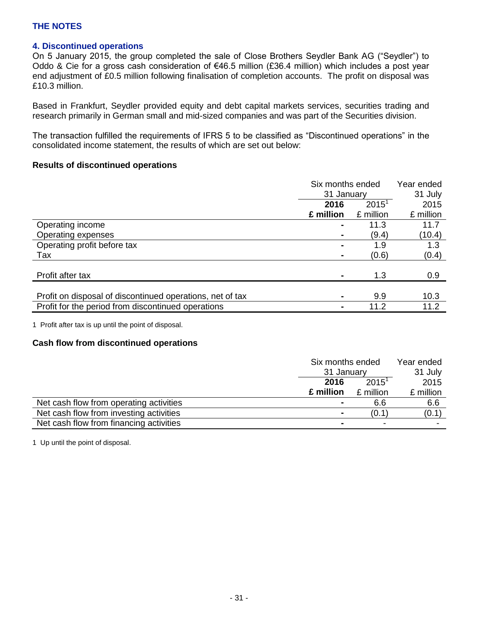# **4. Discontinued operations**

On 5 January 2015, the group completed the sale of Close Brothers Seydler Bank AG ("Seydler") to Oddo & Cie for a gross cash consideration of €46.5 million (£36.4 million) which includes a post year end adjustment of £0.5 million following finalisation of completion accounts. The profit on disposal was £10.3 million.

Based in Frankfurt, Seydler provided equity and debt capital markets services, securities trading and research primarily in German small and mid-sized companies and was part of the Securities division.

The transaction fulfilled the requirements of IFRS 5 to be classified as "Discontinued operations" in the consolidated income statement, the results of which are set out below:

### **Results of discontinued operations**

|                                                           | Six months ended |           | Year ended |
|-----------------------------------------------------------|------------------|-----------|------------|
|                                                           | 31 January       |           | 31 July    |
|                                                           | 2016             | $2015^1$  | 2015       |
|                                                           | £ million        | £ million | £ million  |
| Operating income                                          |                  | 11.3      | 11.7       |
| Operating expenses                                        |                  | (9.4)     | (10.4)     |
| Operating profit before tax                               | ۰                | 1.9       | 1.3        |
| Tax                                                       |                  | (0.6)     | (0.4)      |
|                                                           |                  |           |            |
| Profit after tax                                          |                  | 1.3       | 0.9        |
|                                                           |                  |           |            |
| Profit on disposal of discontinued operations, net of tax | ۰                | 9.9       | 10.3       |
| Profit for the period from discontinued operations        | ۰                | 11.2      | 11.2       |

1 Profit after tax is up until the point of disposal.

### **Cash flow from discontinued operations**

|                                         | Six months ended |           | Year ended |
|-----------------------------------------|------------------|-----------|------------|
|                                         | 31 January       |           | 31 July    |
|                                         | $2015^1$<br>2016 |           | 2015       |
|                                         | £ million        | £ million | £ million  |
| Net cash flow from operating activities | $\blacksquare$   | 6.6       | 6.6        |
| Net cash flow from investing activities |                  | (0.1)     | (0.1)      |
| Net cash flow from financing activities |                  |           |            |

1 Up until the point of disposal.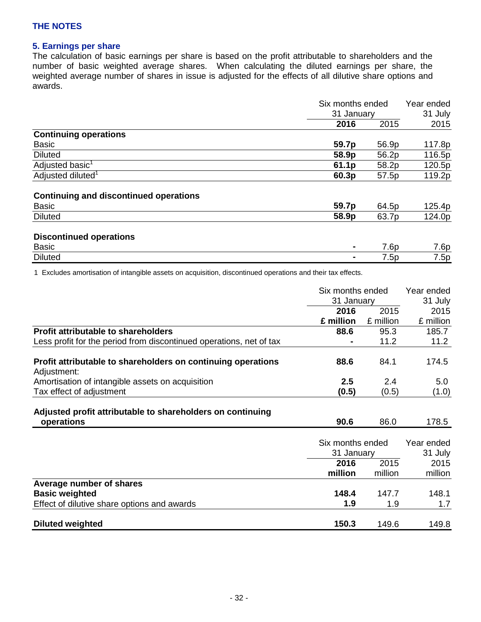# **5. Earnings per share**

The calculation of basic earnings per share is based on the profit attributable to shareholders and the number of basic weighted average shares. When calculating the diluted earnings per share, the weighted average number of shares in issue is adjusted for the effects of all dilutive share options and awards.

|                                               | Six months ended<br>31 January |       | Year ended |  |
|-----------------------------------------------|--------------------------------|-------|------------|--|
|                                               |                                |       | 31 July    |  |
|                                               | 2016                           | 2015  | 2015       |  |
| <b>Continuing operations</b>                  |                                |       |            |  |
| <b>Basic</b>                                  | 59.7p                          | 56.9p | 117.8p     |  |
| <b>Diluted</b>                                | 58.9p                          | 56.2p | 116.5p     |  |
| Adjusted basic <sup>1</sup>                   | 61.1p                          | 58.2p | 120.5p     |  |
| Adjusted diluted <sup>1</sup>                 | 60.3p                          | 57.5p | 119.2p     |  |
| <b>Continuing and discontinued operations</b> |                                |       |            |  |
| <b>Basic</b>                                  | 59.7p                          | 64.5p | 125.4p     |  |
| <b>Diluted</b>                                | 58.9p                          | 63.7p | 124.0p     |  |
| <b>Discontinued operations</b>                |                                |       |            |  |
| <b>Basic</b>                                  | ۰                              | 7.6p  | 7.6p       |  |
| <b>Diluted</b>                                |                                | 7.5p  | 7.5p       |  |

1 Excludes amortisation of intangible assets on acquisition, discontinued operations and their tax effects.

|                                                                             | Six months ended<br>31 January |           | Year ended |
|-----------------------------------------------------------------------------|--------------------------------|-----------|------------|
|                                                                             |                                |           | 31 July    |
|                                                                             | 2016                           | 2015      | 2015       |
|                                                                             | £ million                      | £ million | £ million  |
| <b>Profit attributable to shareholders</b>                                  | 88.6                           | 95.3      | 185.7      |
| Less profit for the period from discontinued operations, net of tax         |                                | 11.2      | 11.2       |
| Profit attributable to shareholders on continuing operations<br>Adjustment: | 88.6                           | 84.1      | 174.5      |
| Amortisation of intangible assets on acquisition                            | 2.5                            | 2.4       | 5.0        |
| Tax effect of adjustment                                                    | (0.5)                          | (0.5)     | (1.0)      |
| Adjusted profit attributable to shareholders on continuing                  |                                |           |            |
| operations                                                                  | 90.6                           | 86.0      | 178.5      |
|                                                                             | Six months ended               |           | Year ended |
|                                                                             | 31 January                     |           | 31 July    |
|                                                                             | 2016                           | 2015      | 2015       |
|                                                                             | million                        | million   | million    |
| Average number of shares                                                    |                                |           |            |
| <b>Basic weighted</b>                                                       | 148.4                          | 147.7     | 148.1      |
| Effect of dilutive share options and awards                                 | 1.9                            | 1.9       | 1.7        |
| <b>Diluted weighted</b>                                                     | 150.3                          | 149.6     | 149.8      |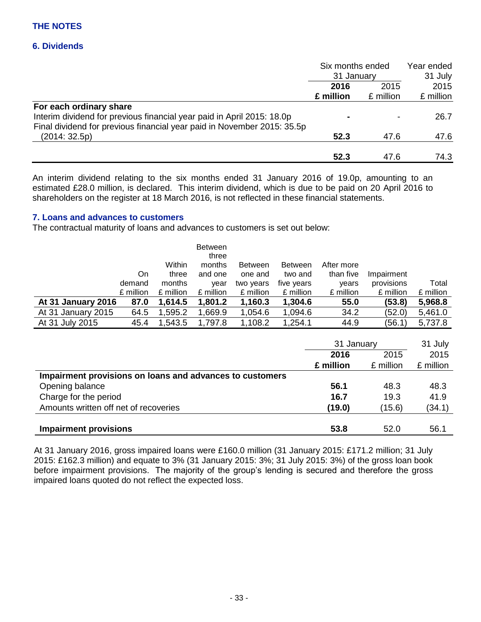# **6. Dividends**

|                                                                         | Six months ended<br>31 January<br>2015<br>2016 |           | Year ended |  |
|-------------------------------------------------------------------------|------------------------------------------------|-----------|------------|--|
|                                                                         |                                                |           | 31 July    |  |
|                                                                         |                                                |           | 2015       |  |
|                                                                         | £ million                                      | £ million | £ million  |  |
| For each ordinary share                                                 |                                                |           |            |  |
| Interim dividend for previous financial year paid in April 2015: 18.0p  | $\blacksquare$                                 |           | 26.7       |  |
| Final dividend for previous financial year paid in November 2015: 35.5p |                                                |           |            |  |
| (2014:32.5p)                                                            | 52.3                                           | 47.6      | 47.6       |  |
|                                                                         | 52.3                                           | 47.6      | 74.3       |  |

An interim dividend relating to the six months ended 31 January 2016 of 19.0p, amounting to an estimated £28.0 million, is declared. This interim dividend, which is due to be paid on 20 April 2016 to shareholders on the register at 18 March 2016, is not reflected in these financial statements.

# **7. Loans and advances to customers**

The contractual maturity of loans and advances to customers is set out below:

|                    |           | Within    | <b>Between</b><br>three<br>months | <b>Between</b> | <b>Between</b> | After more |            |           |
|--------------------|-----------|-----------|-----------------------------------|----------------|----------------|------------|------------|-----------|
|                    | On.       | three     | and one                           | one and        | two and        | than five  | Impairment |           |
|                    | demand    | months    | year                              | two years      | five years     | years      | provisions | Total     |
|                    | £ million | £ million | £ million                         | £ million      | £ million      | £ million  | £ million  | £ million |
| At 31 January 2016 | 87.0      | 1,614.5   | 1,801.2                           | 1,160.3        | 1,304.6        | 55.0       | (53.8)     | 5,968.8   |
| At 31 January 2015 | 64.5      | 1,595.2   | ,669.9                            | 1,054.6        | 1,094.6        | 34.2       | (52.0)     | 5,461.0   |
| At 31 July 2015    | 45.4      | 1,543.5   | 1,797.8                           | 1,108.2        | 1,254.1        | 44.9       | (56.1      | 5,737.8   |

|                                                          | 31 January   |           | 31 July   |
|----------------------------------------------------------|--------------|-----------|-----------|
|                                                          | 2015<br>2016 |           | 2015      |
|                                                          | £ million    | £ million | £ million |
| Impairment provisions on loans and advances to customers |              |           |           |
| Opening balance                                          | 56.1         | 48.3      | 48.3      |
| Charge for the period                                    | 16.7         | 19.3      | 41.9      |
| Amounts written off net of recoveries                    | (19.0)       | (15.6)    | (34.1)    |
|                                                          |              |           |           |
| <b>Impairment provisions</b>                             | 53.8         | 52.0      | 56.1      |

At 31 January 2016, gross impaired loans were £160.0 million (31 January 2015: £171.2 million; 31 July 2015: £162.3 million) and equate to 3% (31 January 2015: 3%; 31 July 2015: 3%) of the gross loan book before impairment provisions. The majority of the group's lending is secured and therefore the gross impaired loans quoted do not reflect the expected loss.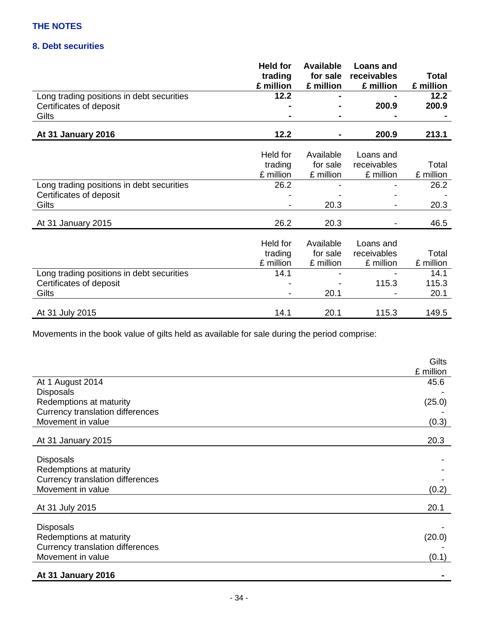# **8. Debt securities**

|                                           | <b>Held for</b><br>trading<br>£ million | <b>Available</b><br>for sale<br>£ million | <b>Loans and</b><br>receivables<br>£ million | Total<br>£ million |
|-------------------------------------------|-----------------------------------------|-------------------------------------------|----------------------------------------------|--------------------|
| Long trading positions in debt securities | 12.2                                    |                                           |                                              | 12.2               |
| Certificates of deposit                   |                                         |                                           | 200.9                                        | 200.9              |
| Gilts                                     |                                         |                                           |                                              |                    |
|                                           |                                         |                                           |                                              |                    |
| At 31 January 2016                        | 12.2                                    |                                           | 200.9                                        | 213.1              |
|                                           |                                         |                                           |                                              |                    |
|                                           | Held for                                | Available                                 | Loans and                                    |                    |
|                                           | trading                                 | for sale                                  | receivables                                  | Total              |
|                                           | £ million                               | £ million                                 | £ million                                    | £ million          |
| Long trading positions in debt securities | 26.2                                    |                                           |                                              | 26.2               |
| Certificates of deposit                   |                                         |                                           |                                              |                    |
| Gilts                                     |                                         | 20.3                                      |                                              | 20.3               |
|                                           |                                         |                                           |                                              |                    |
| At 31 January 2015                        | 26.2                                    | 20.3                                      |                                              | 46.5               |
|                                           | Held for                                | Available                                 | Loans and                                    |                    |
|                                           | trading                                 | for sale                                  | receivables                                  | Total              |
|                                           | £ million                               | £ million                                 | £ million                                    | £ million          |
| Long trading positions in debt securities | 14.1                                    |                                           |                                              | 14.1               |
| Certificates of deposit                   |                                         |                                           | 115.3                                        | 115.3              |
| Gilts                                     |                                         | 20.1                                      |                                              | 20.1               |
|                                           |                                         |                                           |                                              |                    |
| At 31 July 2015                           | 14.1                                    | 20.1                                      | 115.3                                        | 149.5              |

Movements in the book value of gilts held as available for sale during the period comprise:

|                                                              | Gilts     |
|--------------------------------------------------------------|-----------|
|                                                              | £ million |
| At 1 August 2014                                             | 45.6      |
| <b>Disposals</b>                                             |           |
| Redemptions at maturity                                      | (25.0)    |
| <b>Currency translation differences</b>                      |           |
| Movement in value                                            | (0.3)     |
| At 31 January 2015                                           | 20.3      |
|                                                              |           |
| <b>Disposals</b>                                             |           |
| Redemptions at maturity                                      |           |
| <b>Currency translation differences</b>                      |           |
| Movement in value                                            | (0.2)     |
| At 31 July 2015                                              | 20.1      |
|                                                              |           |
| <b>Disposals</b>                                             |           |
| Redemptions at maturity                                      | (20.0)    |
| <b>Currency translation differences</b><br>Movement in value |           |
|                                                              | (0.1)     |
| At 31 January 2016                                           |           |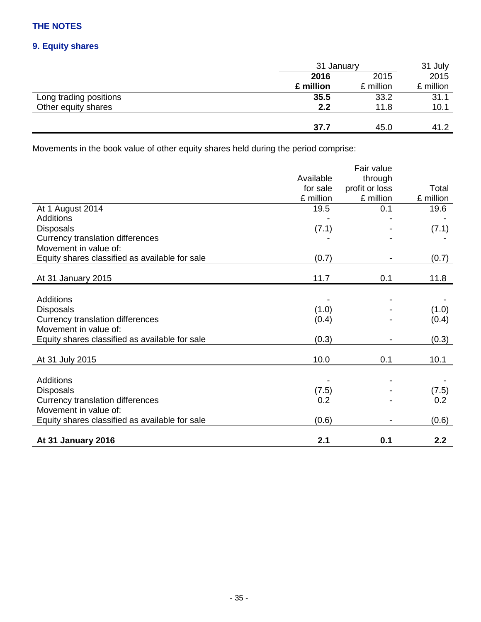# **9. Equity shares**

|                        | 31 January |           | 31 July   |
|------------------------|------------|-----------|-----------|
|                        | 2016       | 2015      |           |
|                        | £ million  | £ million | £ million |
| Long trading positions | 35.5       | 33.2      | 31.1      |
| Other equity shares    | 2.2        | 11.8      | 10.1      |
|                        |            |           |           |
|                        | 37.7       | 45.0      | 41.2      |

Movements in the book value of other equity shares held during the period comprise:

|                                                |           | Fair value     |           |
|------------------------------------------------|-----------|----------------|-----------|
|                                                | Available | through        |           |
|                                                | for sale  | profit or loss | Total     |
|                                                | £ million | £ million      | £ million |
| At 1 August 2014                               | 19.5      | 0.1            | 19.6      |
| <b>Additions</b>                               |           |                |           |
| <b>Disposals</b>                               | (7.1)     |                | (7.1)     |
| <b>Currency translation differences</b>        |           |                |           |
| Movement in value of:                          |           |                |           |
| Equity shares classified as available for sale | (0.7)     |                | (0.7)     |
|                                                |           |                |           |
| At 31 January 2015                             | 11.7      | 0.1            | 11.8      |
|                                                |           |                |           |
| <b>Additions</b>                               |           |                |           |
| <b>Disposals</b>                               | (1.0)     |                | (1.0)     |
| <b>Currency translation differences</b>        | (0.4)     |                | (0.4)     |
| Movement in value of:                          |           |                |           |
| Equity shares classified as available for sale | (0.3)     |                | (0.3)     |
|                                                |           |                |           |
| At 31 July 2015                                | 10.0      | 0.1            | 10.1      |
|                                                |           |                |           |
| Additions                                      |           |                |           |
| <b>Disposals</b>                               | (7.5)     |                | (7.5)     |
| <b>Currency translation differences</b>        | 0.2       |                | 0.2       |
| Movement in value of:                          |           |                |           |
| Equity shares classified as available for sale | (0.6)     |                | (0.6)     |
|                                                |           |                |           |
| At 31 January 2016                             | 2.1       | 0.1            | 2.2       |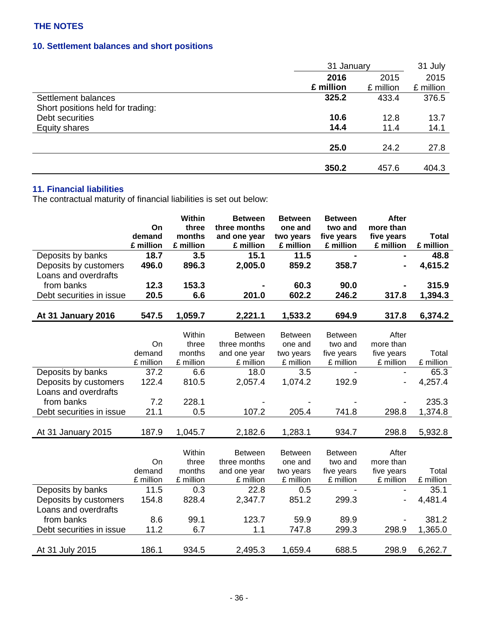# **10. Settlement balances and short positions**

|                                   | 31 January |           | 31 July   |
|-----------------------------------|------------|-----------|-----------|
|                                   | 2016       | 2015      | 2015      |
|                                   | £ million  | £ million | £ million |
| Settlement balances               | 325.2      | 433.4     | 376.5     |
| Short positions held for trading: |            |           |           |
| Debt securities                   | 10.6       | 12.8      | 13.7      |
| Equity shares                     | 14.4       | 11.4      | 14.1      |
|                                   |            |           |           |
|                                   | 25.0       | 24.2      | 27.8      |
|                                   |            |           |           |
|                                   | 350.2      | 457.6     | 404.3     |

# **11. Financial liabilities**

The contractual maturity of financial liabilities is set out below:

|                                               |              | Within          | <b>Between</b>               | <b>Between</b>         | <b>Between</b>          | <b>After</b>            |              |
|-----------------------------------------------|--------------|-----------------|------------------------------|------------------------|-------------------------|-------------------------|--------------|
|                                               | On           | three           | three months                 | one and                | two and                 | more than               |              |
|                                               | demand       | months          | and one year                 | two years              | five years              | five years              | <b>Total</b> |
|                                               | £ million    | £ million       | £ million                    | £ million              | £ million               | £ million               | £ million    |
| Deposits by banks                             | 18.7         | 3.5             | 15.1                         | 11.5                   |                         |                         | 48.8         |
| Deposits by customers                         | 496.0        | 896.3           | 2,005.0                      | 859.2                  | 358.7                   |                         | 4,615.2      |
| Loans and overdrafts                          |              |                 |                              |                        |                         |                         |              |
| from banks                                    | 12.3         | 153.3           |                              | 60.3                   | 90.0                    |                         | 315.9        |
| Debt securities in issue                      | 20.5         | 6.6             | 201.0                        | 602.2                  | 246.2                   | 317.8                   | 1,394.3      |
|                                               |              |                 |                              |                        |                         |                         |              |
| At 31 January 2016                            | 547.5        | 1,059.7         | 2,221.1                      | 1,533.2                | 694.9                   | 317.8                   | 6,374.2      |
|                                               |              |                 |                              |                        |                         |                         |              |
|                                               |              | Within          | <b>Between</b>               | <b>Between</b>         | <b>Between</b>          | After                   |              |
|                                               | On<br>demand | three<br>months | three months<br>and one year | one and                | two and                 | more than               | Total        |
|                                               | £ million    | £ million       | £ million                    | two years<br>£ million | five years<br>£ million | five years<br>£ million | £ million    |
| Deposits by banks                             | 37.2         | 6.6             | 18.0                         | 3.5                    |                         | $\blacksquare$          | 65.3         |
|                                               | 122.4        | 810.5           | 2,057.4                      | 1,074.2                | 192.9                   |                         | 4,257.4      |
| Deposits by customers<br>Loans and overdrafts |              |                 |                              |                        |                         |                         |              |
|                                               |              |                 |                              |                        |                         |                         |              |
| from banks                                    | 7.2          | 228.1           |                              |                        |                         |                         | 235.3        |
| Debt securities in issue                      | 21.1         | 0.5             | 107.2                        | 205.4                  | 741.8                   | 298.8                   | 1,374.8      |
|                                               |              |                 |                              |                        |                         |                         |              |
| At 31 January 2015                            | 187.9        | 1,045.7         | 2,182.6                      | 1,283.1                | 934.7                   | 298.8                   | 5,932.8      |
|                                               |              | Within          | <b>Between</b>               | <b>Between</b>         | <b>Between</b>          | After                   |              |
|                                               | On           | three           | three months                 | one and                | two and                 | more than               |              |
|                                               | demand       | months          | and one year                 | two years              | five years              | five years              | Total        |
|                                               | £ million    | £ million       | £ million                    | £ million              | £ million               | £ million               | £ million    |
| Deposits by banks                             | 11.5         | 0.3             | 22.8                         | 0.5                    |                         |                         | 35.1         |
| Deposits by customers                         | 154.8        | 828.4           | 2,347.7                      | 851.2                  | 299.3                   |                         | 4,481.4      |
| Loans and overdrafts                          |              |                 |                              |                        |                         |                         |              |
| from banks                                    | 8.6          | 99.1            | 123.7                        | 59.9                   | 89.9                    |                         | 381.2        |
| Debt securities in issue                      | 11.2         | 6.7             | 1.1                          | 747.8                  | 299.3                   | 298.9                   | 1,365.0      |
|                                               |              |                 |                              |                        |                         |                         |              |
| At 31 July 2015                               | 186.1        | 934.5           | 2,495.3                      | 1,659.4                | 688.5                   | 298.9                   | 6,262.7      |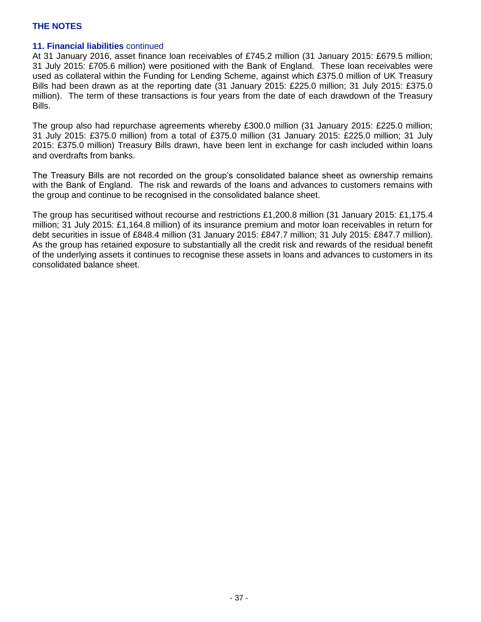## **11. Financial liabilities** continued

At 31 January 2016, asset finance loan receivables of £745.2 million (31 January 2015: £679.5 million; 31 July 2015: £705.6 million) were positioned with the Bank of England. These loan receivables were used as collateral within the Funding for Lending Scheme, against which £375.0 million of UK Treasury Bills had been drawn as at the reporting date (31 January 2015: £225.0 million; 31 July 2015: £375.0 million). The term of these transactions is four years from the date of each drawdown of the Treasury Bills.

The group also had repurchase agreements whereby £300.0 million (31 January 2015: £225.0 million; 31 July 2015: £375.0 million) from a total of £375.0 million (31 January 2015: £225.0 million; 31 July 2015: £375.0 million) Treasury Bills drawn, have been lent in exchange for cash included within loans and overdrafts from banks.

The Treasury Bills are not recorded on the group's consolidated balance sheet as ownership remains with the Bank of England. The risk and rewards of the loans and advances to customers remains with the group and continue to be recognised in the consolidated balance sheet.

The group has securitised without recourse and restrictions £1,200.8 million (31 January 2015: £1,175.4 million; 31 July 2015: £1,164.8 million) of its insurance premium and motor loan receivables in return for debt securities in issue of £848.4 million (31 January 2015: £847.7 million; 31 July 2015: £847.7 million). As the group has retained exposure to substantially all the credit risk and rewards of the residual benefit of the underlying assets it continues to recognise these assets in loans and advances to customers in its consolidated balance sheet.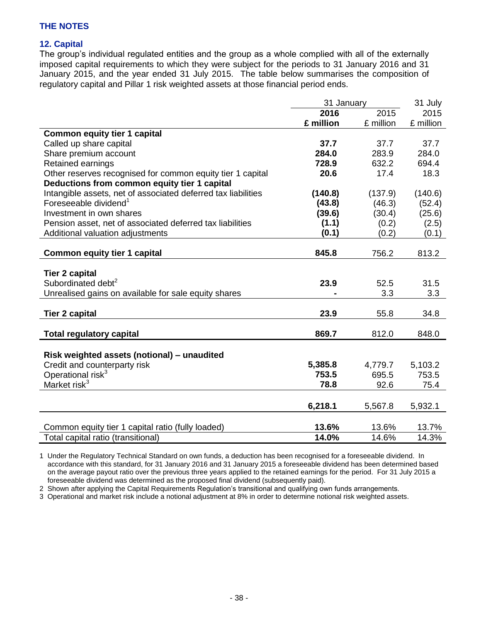## **12. Capital**

The group's individual regulated entities and the group as a whole complied with all of the externally imposed capital requirements to which they were subject for the periods to 31 January 2016 and 31 January 2015, and the year ended 31 July 2015. The table below summarises the composition of regulatory capital and Pillar 1 risk weighted assets at those financial period ends.

|                                                               | 31 January |           | 31 July   |
|---------------------------------------------------------------|------------|-----------|-----------|
|                                                               | 2016       | 2015      | 2015      |
|                                                               | £ million  | £ million | £ million |
| <b>Common equity tier 1 capital</b>                           |            |           |           |
| Called up share capital                                       | 37.7       | 37.7      | 37.7      |
| Share premium account                                         | 284.0      | 283.9     | 284.0     |
| Retained earnings                                             | 728.9      | 632.2     | 694.4     |
| Other reserves recognised for common equity tier 1 capital    | 20.6       | 17.4      | 18.3      |
| Deductions from common equity tier 1 capital                  |            |           |           |
| Intangible assets, net of associated deferred tax liabilities | (140.8)    | (137.9)   | (140.6)   |
| Foreseeable dividend <sup>1</sup>                             | (43.8)     | (46.3)    | (52.4)    |
| Investment in own shares                                      | (39.6)     | (30.4)    | (25.6)    |
| Pension asset, net of associated deferred tax liabilities     | (1.1)      | (0.2)     | (2.5)     |
| Additional valuation adjustments                              | (0.1)      | (0.2)     | (0.1)     |
|                                                               |            |           |           |
| <b>Common equity tier 1 capital</b>                           | 845.8      | 756.2     | 813.2     |
|                                                               |            |           |           |
| <b>Tier 2 capital</b>                                         |            |           |           |
| Subordinated debt <sup>2</sup>                                | 23.9       | 52.5      | 31.5      |
| Unrealised gains on available for sale equity shares          |            | 3.3       | 3.3       |
|                                                               |            |           |           |
| <b>Tier 2 capital</b>                                         | 23.9       | 55.8      | 34.8      |
|                                                               |            |           |           |
| <b>Total regulatory capital</b>                               | 869.7      | 812.0     | 848.0     |
|                                                               |            |           |           |
| Risk weighted assets (notional) - unaudited                   |            |           |           |
| Credit and counterparty risk                                  | 5,385.8    | 4,779.7   | 5,103.2   |
| Operational risk <sup>3</sup>                                 | 753.5      | 695.5     | 753.5     |
| Market risk <sup>3</sup>                                      | 78.8       | 92.6      | 75.4      |
|                                                               |            |           |           |
|                                                               | 6,218.1    | 5,567.8   | 5,932.1   |
|                                                               |            |           |           |
| Common equity tier 1 capital ratio (fully loaded)             | 13.6%      | 13.6%     | 13.7%     |
| Total capital ratio (transitional)                            | 14.0%      | 14.6%     | 14.3%     |

1 Under the Regulatory Technical Standard on own funds, a deduction has been recognised for a foreseeable dividend. In accordance with this standard, for 31 January 2016 and 31 January 2015 a foreseeable dividend has been determined based on the average payout ratio over the previous three years applied to the retained earnings for the period. For 31 July 2015 a foreseeable dividend was determined as the proposed final dividend (subsequently paid).

2 Shown after applying the Capital Requirements Regulation's transitional and qualifying own funds arrangements.

3 Operational and market risk include a notional adjustment at 8% in order to determine notional risk weighted assets.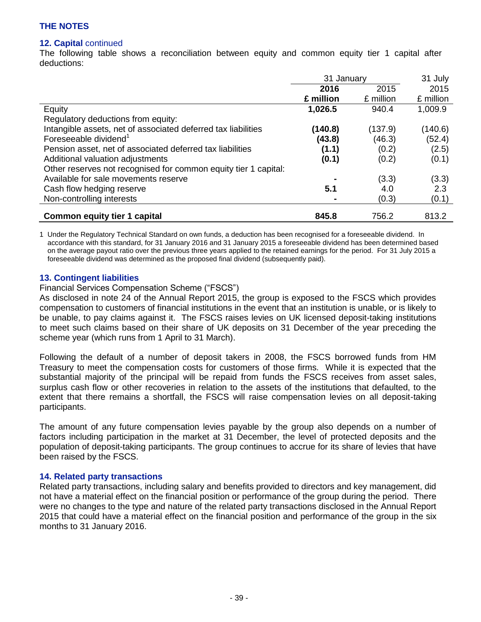## **12. Capital** continued

The following table shows a reconciliation between equity and common equity tier 1 capital after deductions:

|                                                                 | 31 January |           | 31 July   |
|-----------------------------------------------------------------|------------|-----------|-----------|
|                                                                 | 2016       | 2015      | 2015      |
|                                                                 | £ million  | £ million | £ million |
| Equity                                                          | 1,026.5    | 940.4     | 1,009.9   |
| Regulatory deductions from equity:                              |            |           |           |
| Intangible assets, net of associated deferred tax liabilities   | (140.8)    | (137.9)   | (140.6)   |
| Foreseeable dividend <sup>1</sup>                               | (43.8)     | (46.3)    | (52.4)    |
| Pension asset, net of associated deferred tax liabilities       | (1.1)      | (0.2)     | (2.5)     |
| Additional valuation adjustments                                | (0.1)      | (0.2)     | (0.1)     |
| Other reserves not recognised for common equity tier 1 capital: |            |           |           |
| Available for sale movements reserve                            |            | (3.3)     | (3.3)     |
| Cash flow hedging reserve                                       | 5.1        | 4.0       | 2.3       |
| Non-controlling interests                                       |            | (0.3)     | (0.1)     |
| <b>Common equity tier 1 capital</b>                             | 845.8      | 756.2     | 813.2     |

1 Under the Regulatory Technical Standard on own funds, a deduction has been recognised for a foreseeable dividend. In accordance with this standard, for 31 January 2016 and 31 January 2015 a foreseeable dividend has been determined based on the average payout ratio over the previous three years applied to the retained earnings for the period. For 31 July 2015 a foreseeable dividend was determined as the proposed final dividend (subsequently paid).

### **13. Contingent liabilities**

### Financial Services Compensation Scheme ("FSCS")

As disclosed in note 24 of the Annual Report 2015, the group is exposed to the FSCS which provides compensation to customers of financial institutions in the event that an institution is unable, or is likely to be unable, to pay claims against it. The FSCS raises levies on UK licensed deposit-taking institutions to meet such claims based on their share of UK deposits on 31 December of the year preceding the scheme year (which runs from 1 April to 31 March).

Following the default of a number of deposit takers in 2008, the FSCS borrowed funds from HM Treasury to meet the compensation costs for customers of those firms. While it is expected that the substantial majority of the principal will be repaid from funds the FSCS receives from asset sales, surplus cash flow or other recoveries in relation to the assets of the institutions that defaulted, to the extent that there remains a shortfall, the FSCS will raise compensation levies on all deposit-taking participants.

The amount of any future compensation levies payable by the group also depends on a number of factors including participation in the market at 31 December, the level of protected deposits and the population of deposit-taking participants. The group continues to accrue for its share of levies that have been raised by the FSCS.

### **14. Related party transactions**

Related party transactions, including salary and benefits provided to directors and key management, did not have a material effect on the financial position or performance of the group during the period. There were no changes to the type and nature of the related party transactions disclosed in the Annual Report 2015 that could have a material effect on the financial position and performance of the group in the six months to 31 January 2016.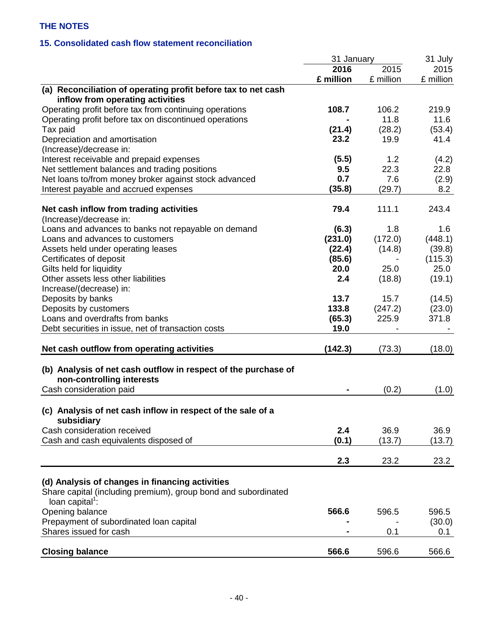# **15. Consolidated cash flow statement reconciliation**

| 2016<br>2015<br>2015<br>£ million<br>£ million<br>£ million<br>(a) Reconciliation of operating profit before tax to net cash<br>inflow from operating activities<br>Operating profit before tax from continuing operations<br>108.7<br>106.2<br>219.9<br>11.8<br>Operating profit before tax on discontinued operations<br>11.6<br>(21.4)<br>(28.2)<br>(53.4)<br>Tax paid<br>23.2<br>19.9<br>41.4<br>Depreciation and amortisation<br>(Increase)/decrease in:<br>Interest receivable and prepaid expenses<br>(5.5)<br>1.2<br>(4.2)<br>Net settlement balances and trading positions<br>9.5<br>22.3<br>22.8<br>Net loans to/from money broker against stock advanced<br>0.7<br>7.6<br>(2.9)<br>Interest payable and accrued expenses<br>(35.8)<br>(29.7)<br>8.2<br>79.4<br>111.1<br>Net cash inflow from trading activities<br>243.4<br>(Increase)/decrease in:<br>Loans and advances to banks not repayable on demand<br>(6.3)<br>1.8<br>1.6<br>(231.0)<br>(172.0)<br>(448.1)<br>Loans and advances to customers<br>(22.4)<br>(14.8)<br>(39.8)<br>Assets held under operating leases<br>Certificates of deposit<br>(85.6)<br>(115.3)<br>Gilts held for liquidity<br>20.0<br>25.0<br>25.0<br>Other assets less other liabilities<br>2.4<br>(18.8)<br>(19.1)<br>Increase/(decrease) in:<br>13.7<br>15.7<br>(14.5)<br>Deposits by banks<br>133.8<br>Deposits by customers<br>(247.2)<br>(23.0)<br>Loans and overdrafts from banks<br>225.9<br>(65.3)<br>371.8<br>19.0<br>Debt securities in issue, net of transaction costs<br>Net cash outflow from operating activities<br>(142.3)<br>(73.3)<br>(18.0)<br>(b) Analysis of net cash outflow in respect of the purchase of<br>non-controlling interests<br>Cash consideration paid<br>(0.2)<br>(1.0)<br>(c) Analysis of net cash inflow in respect of the sale of a<br>subsidiary<br>Cash consideration received<br>36.9<br>2.4<br>36.9<br>Cash and cash equivalents disposed of<br>(0.1)<br>(13.7)<br>(13.7)<br>2.3<br>23.2<br>23.2<br>(d) Analysis of changes in financing activities<br>Share capital (including premium), group bond and subordinated<br>loan capital <sup>1</sup> :<br>Opening balance<br>566.6<br>596.5<br>596.5<br>Prepayment of subordinated loan capital<br>(30.0)<br>Shares issued for cash<br>0.1<br>0.1 |                        | 31 January |       | 31 July |
|----------------------------------------------------------------------------------------------------------------------------------------------------------------------------------------------------------------------------------------------------------------------------------------------------------------------------------------------------------------------------------------------------------------------------------------------------------------------------------------------------------------------------------------------------------------------------------------------------------------------------------------------------------------------------------------------------------------------------------------------------------------------------------------------------------------------------------------------------------------------------------------------------------------------------------------------------------------------------------------------------------------------------------------------------------------------------------------------------------------------------------------------------------------------------------------------------------------------------------------------------------------------------------------------------------------------------------------------------------------------------------------------------------------------------------------------------------------------------------------------------------------------------------------------------------------------------------------------------------------------------------------------------------------------------------------------------------------------------------------------------------------------------------------------------------------------------------------------------------------------------------------------------------------------------------------------------------------------------------------------------------------------------------------------------------------------------------------------------------------------------------------------------------------------------------------------------------------------------------------------------------------------------------|------------------------|------------|-------|---------|
|                                                                                                                                                                                                                                                                                                                                                                                                                                                                                                                                                                                                                                                                                                                                                                                                                                                                                                                                                                                                                                                                                                                                                                                                                                                                                                                                                                                                                                                                                                                                                                                                                                                                                                                                                                                                                                                                                                                                                                                                                                                                                                                                                                                                                                                                                  |                        |            |       |         |
|                                                                                                                                                                                                                                                                                                                                                                                                                                                                                                                                                                                                                                                                                                                                                                                                                                                                                                                                                                                                                                                                                                                                                                                                                                                                                                                                                                                                                                                                                                                                                                                                                                                                                                                                                                                                                                                                                                                                                                                                                                                                                                                                                                                                                                                                                  |                        |            |       |         |
|                                                                                                                                                                                                                                                                                                                                                                                                                                                                                                                                                                                                                                                                                                                                                                                                                                                                                                                                                                                                                                                                                                                                                                                                                                                                                                                                                                                                                                                                                                                                                                                                                                                                                                                                                                                                                                                                                                                                                                                                                                                                                                                                                                                                                                                                                  |                        |            |       |         |
|                                                                                                                                                                                                                                                                                                                                                                                                                                                                                                                                                                                                                                                                                                                                                                                                                                                                                                                                                                                                                                                                                                                                                                                                                                                                                                                                                                                                                                                                                                                                                                                                                                                                                                                                                                                                                                                                                                                                                                                                                                                                                                                                                                                                                                                                                  |                        |            |       |         |
|                                                                                                                                                                                                                                                                                                                                                                                                                                                                                                                                                                                                                                                                                                                                                                                                                                                                                                                                                                                                                                                                                                                                                                                                                                                                                                                                                                                                                                                                                                                                                                                                                                                                                                                                                                                                                                                                                                                                                                                                                                                                                                                                                                                                                                                                                  |                        |            |       |         |
|                                                                                                                                                                                                                                                                                                                                                                                                                                                                                                                                                                                                                                                                                                                                                                                                                                                                                                                                                                                                                                                                                                                                                                                                                                                                                                                                                                                                                                                                                                                                                                                                                                                                                                                                                                                                                                                                                                                                                                                                                                                                                                                                                                                                                                                                                  |                        |            |       |         |
|                                                                                                                                                                                                                                                                                                                                                                                                                                                                                                                                                                                                                                                                                                                                                                                                                                                                                                                                                                                                                                                                                                                                                                                                                                                                                                                                                                                                                                                                                                                                                                                                                                                                                                                                                                                                                                                                                                                                                                                                                                                                                                                                                                                                                                                                                  |                        |            |       |         |
|                                                                                                                                                                                                                                                                                                                                                                                                                                                                                                                                                                                                                                                                                                                                                                                                                                                                                                                                                                                                                                                                                                                                                                                                                                                                                                                                                                                                                                                                                                                                                                                                                                                                                                                                                                                                                                                                                                                                                                                                                                                                                                                                                                                                                                                                                  |                        |            |       |         |
|                                                                                                                                                                                                                                                                                                                                                                                                                                                                                                                                                                                                                                                                                                                                                                                                                                                                                                                                                                                                                                                                                                                                                                                                                                                                                                                                                                                                                                                                                                                                                                                                                                                                                                                                                                                                                                                                                                                                                                                                                                                                                                                                                                                                                                                                                  |                        |            |       |         |
|                                                                                                                                                                                                                                                                                                                                                                                                                                                                                                                                                                                                                                                                                                                                                                                                                                                                                                                                                                                                                                                                                                                                                                                                                                                                                                                                                                                                                                                                                                                                                                                                                                                                                                                                                                                                                                                                                                                                                                                                                                                                                                                                                                                                                                                                                  |                        |            |       |         |
|                                                                                                                                                                                                                                                                                                                                                                                                                                                                                                                                                                                                                                                                                                                                                                                                                                                                                                                                                                                                                                                                                                                                                                                                                                                                                                                                                                                                                                                                                                                                                                                                                                                                                                                                                                                                                                                                                                                                                                                                                                                                                                                                                                                                                                                                                  |                        |            |       |         |
|                                                                                                                                                                                                                                                                                                                                                                                                                                                                                                                                                                                                                                                                                                                                                                                                                                                                                                                                                                                                                                                                                                                                                                                                                                                                                                                                                                                                                                                                                                                                                                                                                                                                                                                                                                                                                                                                                                                                                                                                                                                                                                                                                                                                                                                                                  |                        |            |       |         |
|                                                                                                                                                                                                                                                                                                                                                                                                                                                                                                                                                                                                                                                                                                                                                                                                                                                                                                                                                                                                                                                                                                                                                                                                                                                                                                                                                                                                                                                                                                                                                                                                                                                                                                                                                                                                                                                                                                                                                                                                                                                                                                                                                                                                                                                                                  |                        |            |       |         |
|                                                                                                                                                                                                                                                                                                                                                                                                                                                                                                                                                                                                                                                                                                                                                                                                                                                                                                                                                                                                                                                                                                                                                                                                                                                                                                                                                                                                                                                                                                                                                                                                                                                                                                                                                                                                                                                                                                                                                                                                                                                                                                                                                                                                                                                                                  |                        |            |       |         |
|                                                                                                                                                                                                                                                                                                                                                                                                                                                                                                                                                                                                                                                                                                                                                                                                                                                                                                                                                                                                                                                                                                                                                                                                                                                                                                                                                                                                                                                                                                                                                                                                                                                                                                                                                                                                                                                                                                                                                                                                                                                                                                                                                                                                                                                                                  |                        |            |       |         |
|                                                                                                                                                                                                                                                                                                                                                                                                                                                                                                                                                                                                                                                                                                                                                                                                                                                                                                                                                                                                                                                                                                                                                                                                                                                                                                                                                                                                                                                                                                                                                                                                                                                                                                                                                                                                                                                                                                                                                                                                                                                                                                                                                                                                                                                                                  |                        |            |       |         |
|                                                                                                                                                                                                                                                                                                                                                                                                                                                                                                                                                                                                                                                                                                                                                                                                                                                                                                                                                                                                                                                                                                                                                                                                                                                                                                                                                                                                                                                                                                                                                                                                                                                                                                                                                                                                                                                                                                                                                                                                                                                                                                                                                                                                                                                                                  |                        |            |       |         |
|                                                                                                                                                                                                                                                                                                                                                                                                                                                                                                                                                                                                                                                                                                                                                                                                                                                                                                                                                                                                                                                                                                                                                                                                                                                                                                                                                                                                                                                                                                                                                                                                                                                                                                                                                                                                                                                                                                                                                                                                                                                                                                                                                                                                                                                                                  |                        |            |       |         |
|                                                                                                                                                                                                                                                                                                                                                                                                                                                                                                                                                                                                                                                                                                                                                                                                                                                                                                                                                                                                                                                                                                                                                                                                                                                                                                                                                                                                                                                                                                                                                                                                                                                                                                                                                                                                                                                                                                                                                                                                                                                                                                                                                                                                                                                                                  |                        |            |       |         |
|                                                                                                                                                                                                                                                                                                                                                                                                                                                                                                                                                                                                                                                                                                                                                                                                                                                                                                                                                                                                                                                                                                                                                                                                                                                                                                                                                                                                                                                                                                                                                                                                                                                                                                                                                                                                                                                                                                                                                                                                                                                                                                                                                                                                                                                                                  |                        |            |       |         |
|                                                                                                                                                                                                                                                                                                                                                                                                                                                                                                                                                                                                                                                                                                                                                                                                                                                                                                                                                                                                                                                                                                                                                                                                                                                                                                                                                                                                                                                                                                                                                                                                                                                                                                                                                                                                                                                                                                                                                                                                                                                                                                                                                                                                                                                                                  |                        |            |       |         |
|                                                                                                                                                                                                                                                                                                                                                                                                                                                                                                                                                                                                                                                                                                                                                                                                                                                                                                                                                                                                                                                                                                                                                                                                                                                                                                                                                                                                                                                                                                                                                                                                                                                                                                                                                                                                                                                                                                                                                                                                                                                                                                                                                                                                                                                                                  |                        |            |       |         |
|                                                                                                                                                                                                                                                                                                                                                                                                                                                                                                                                                                                                                                                                                                                                                                                                                                                                                                                                                                                                                                                                                                                                                                                                                                                                                                                                                                                                                                                                                                                                                                                                                                                                                                                                                                                                                                                                                                                                                                                                                                                                                                                                                                                                                                                                                  |                        |            |       |         |
|                                                                                                                                                                                                                                                                                                                                                                                                                                                                                                                                                                                                                                                                                                                                                                                                                                                                                                                                                                                                                                                                                                                                                                                                                                                                                                                                                                                                                                                                                                                                                                                                                                                                                                                                                                                                                                                                                                                                                                                                                                                                                                                                                                                                                                                                                  |                        |            |       |         |
|                                                                                                                                                                                                                                                                                                                                                                                                                                                                                                                                                                                                                                                                                                                                                                                                                                                                                                                                                                                                                                                                                                                                                                                                                                                                                                                                                                                                                                                                                                                                                                                                                                                                                                                                                                                                                                                                                                                                                                                                                                                                                                                                                                                                                                                                                  |                        |            |       |         |
|                                                                                                                                                                                                                                                                                                                                                                                                                                                                                                                                                                                                                                                                                                                                                                                                                                                                                                                                                                                                                                                                                                                                                                                                                                                                                                                                                                                                                                                                                                                                                                                                                                                                                                                                                                                                                                                                                                                                                                                                                                                                                                                                                                                                                                                                                  |                        |            |       |         |
|                                                                                                                                                                                                                                                                                                                                                                                                                                                                                                                                                                                                                                                                                                                                                                                                                                                                                                                                                                                                                                                                                                                                                                                                                                                                                                                                                                                                                                                                                                                                                                                                                                                                                                                                                                                                                                                                                                                                                                                                                                                                                                                                                                                                                                                                                  |                        |            |       |         |
|                                                                                                                                                                                                                                                                                                                                                                                                                                                                                                                                                                                                                                                                                                                                                                                                                                                                                                                                                                                                                                                                                                                                                                                                                                                                                                                                                                                                                                                                                                                                                                                                                                                                                                                                                                                                                                                                                                                                                                                                                                                                                                                                                                                                                                                                                  |                        |            |       |         |
|                                                                                                                                                                                                                                                                                                                                                                                                                                                                                                                                                                                                                                                                                                                                                                                                                                                                                                                                                                                                                                                                                                                                                                                                                                                                                                                                                                                                                                                                                                                                                                                                                                                                                                                                                                                                                                                                                                                                                                                                                                                                                                                                                                                                                                                                                  |                        |            |       |         |
|                                                                                                                                                                                                                                                                                                                                                                                                                                                                                                                                                                                                                                                                                                                                                                                                                                                                                                                                                                                                                                                                                                                                                                                                                                                                                                                                                                                                                                                                                                                                                                                                                                                                                                                                                                                                                                                                                                                                                                                                                                                                                                                                                                                                                                                                                  |                        |            |       |         |
|                                                                                                                                                                                                                                                                                                                                                                                                                                                                                                                                                                                                                                                                                                                                                                                                                                                                                                                                                                                                                                                                                                                                                                                                                                                                                                                                                                                                                                                                                                                                                                                                                                                                                                                                                                                                                                                                                                                                                                                                                                                                                                                                                                                                                                                                                  |                        |            |       |         |
|                                                                                                                                                                                                                                                                                                                                                                                                                                                                                                                                                                                                                                                                                                                                                                                                                                                                                                                                                                                                                                                                                                                                                                                                                                                                                                                                                                                                                                                                                                                                                                                                                                                                                                                                                                                                                                                                                                                                                                                                                                                                                                                                                                                                                                                                                  |                        |            |       |         |
|                                                                                                                                                                                                                                                                                                                                                                                                                                                                                                                                                                                                                                                                                                                                                                                                                                                                                                                                                                                                                                                                                                                                                                                                                                                                                                                                                                                                                                                                                                                                                                                                                                                                                                                                                                                                                                                                                                                                                                                                                                                                                                                                                                                                                                                                                  |                        |            |       |         |
|                                                                                                                                                                                                                                                                                                                                                                                                                                                                                                                                                                                                                                                                                                                                                                                                                                                                                                                                                                                                                                                                                                                                                                                                                                                                                                                                                                                                                                                                                                                                                                                                                                                                                                                                                                                                                                                                                                                                                                                                                                                                                                                                                                                                                                                                                  |                        |            |       |         |
|                                                                                                                                                                                                                                                                                                                                                                                                                                                                                                                                                                                                                                                                                                                                                                                                                                                                                                                                                                                                                                                                                                                                                                                                                                                                                                                                                                                                                                                                                                                                                                                                                                                                                                                                                                                                                                                                                                                                                                                                                                                                                                                                                                                                                                                                                  |                        |            |       |         |
|                                                                                                                                                                                                                                                                                                                                                                                                                                                                                                                                                                                                                                                                                                                                                                                                                                                                                                                                                                                                                                                                                                                                                                                                                                                                                                                                                                                                                                                                                                                                                                                                                                                                                                                                                                                                                                                                                                                                                                                                                                                                                                                                                                                                                                                                                  |                        |            |       |         |
|                                                                                                                                                                                                                                                                                                                                                                                                                                                                                                                                                                                                                                                                                                                                                                                                                                                                                                                                                                                                                                                                                                                                                                                                                                                                                                                                                                                                                                                                                                                                                                                                                                                                                                                                                                                                                                                                                                                                                                                                                                                                                                                                                                                                                                                                                  |                        |            |       |         |
|                                                                                                                                                                                                                                                                                                                                                                                                                                                                                                                                                                                                                                                                                                                                                                                                                                                                                                                                                                                                                                                                                                                                                                                                                                                                                                                                                                                                                                                                                                                                                                                                                                                                                                                                                                                                                                                                                                                                                                                                                                                                                                                                                                                                                                                                                  |                        |            |       |         |
|                                                                                                                                                                                                                                                                                                                                                                                                                                                                                                                                                                                                                                                                                                                                                                                                                                                                                                                                                                                                                                                                                                                                                                                                                                                                                                                                                                                                                                                                                                                                                                                                                                                                                                                                                                                                                                                                                                                                                                                                                                                                                                                                                                                                                                                                                  |                        |            |       |         |
|                                                                                                                                                                                                                                                                                                                                                                                                                                                                                                                                                                                                                                                                                                                                                                                                                                                                                                                                                                                                                                                                                                                                                                                                                                                                                                                                                                                                                                                                                                                                                                                                                                                                                                                                                                                                                                                                                                                                                                                                                                                                                                                                                                                                                                                                                  |                        |            |       |         |
|                                                                                                                                                                                                                                                                                                                                                                                                                                                                                                                                                                                                                                                                                                                                                                                                                                                                                                                                                                                                                                                                                                                                                                                                                                                                                                                                                                                                                                                                                                                                                                                                                                                                                                                                                                                                                                                                                                                                                                                                                                                                                                                                                                                                                                                                                  |                        |            |       |         |
|                                                                                                                                                                                                                                                                                                                                                                                                                                                                                                                                                                                                                                                                                                                                                                                                                                                                                                                                                                                                                                                                                                                                                                                                                                                                                                                                                                                                                                                                                                                                                                                                                                                                                                                                                                                                                                                                                                                                                                                                                                                                                                                                                                                                                                                                                  |                        |            |       |         |
|                                                                                                                                                                                                                                                                                                                                                                                                                                                                                                                                                                                                                                                                                                                                                                                                                                                                                                                                                                                                                                                                                                                                                                                                                                                                                                                                                                                                                                                                                                                                                                                                                                                                                                                                                                                                                                                                                                                                                                                                                                                                                                                                                                                                                                                                                  |                        |            |       |         |
|                                                                                                                                                                                                                                                                                                                                                                                                                                                                                                                                                                                                                                                                                                                                                                                                                                                                                                                                                                                                                                                                                                                                                                                                                                                                                                                                                                                                                                                                                                                                                                                                                                                                                                                                                                                                                                                                                                                                                                                                                                                                                                                                                                                                                                                                                  |                        |            |       |         |
|                                                                                                                                                                                                                                                                                                                                                                                                                                                                                                                                                                                                                                                                                                                                                                                                                                                                                                                                                                                                                                                                                                                                                                                                                                                                                                                                                                                                                                                                                                                                                                                                                                                                                                                                                                                                                                                                                                                                                                                                                                                                                                                                                                                                                                                                                  |                        |            |       |         |
|                                                                                                                                                                                                                                                                                                                                                                                                                                                                                                                                                                                                                                                                                                                                                                                                                                                                                                                                                                                                                                                                                                                                                                                                                                                                                                                                                                                                                                                                                                                                                                                                                                                                                                                                                                                                                                                                                                                                                                                                                                                                                                                                                                                                                                                                                  |                        |            |       |         |
|                                                                                                                                                                                                                                                                                                                                                                                                                                                                                                                                                                                                                                                                                                                                                                                                                                                                                                                                                                                                                                                                                                                                                                                                                                                                                                                                                                                                                                                                                                                                                                                                                                                                                                                                                                                                                                                                                                                                                                                                                                                                                                                                                                                                                                                                                  | <b>Closing balance</b> | 566.6      | 596.6 | 566.6   |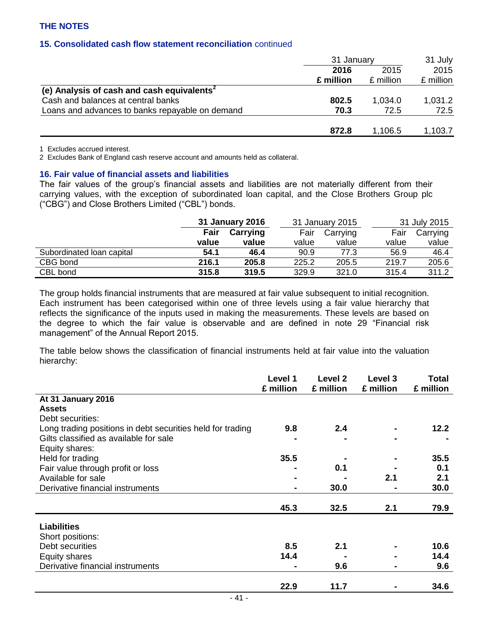## **15. Consolidated cash flow statement reconciliation** continued

|                                                        | 31 January   |           | 31 July   |  |
|--------------------------------------------------------|--------------|-----------|-----------|--|
|                                                        | 2015<br>2016 |           | 2015      |  |
|                                                        | £ million    | £ million | £ million |  |
| (e) Analysis of cash and cash equivalents <sup>2</sup> |              |           |           |  |
| Cash and balances at central banks                     | 802.5        | 1,034.0   | 1,031.2   |  |
| Loans and advances to banks repayable on demand        | 70.3         | 72.5      | 72.5      |  |
|                                                        | 872.8        | 1,106.5   | 1,103.7   |  |

1 Excludes accrued interest.

2 Excludes Bank of England cash reserve account and amounts held as collateral.

#### **16. Fair value of financial assets and liabilities**

The fair values of the group's financial assets and liabilities are not materially different from their carrying values, with the exception of subordinated loan capital, and the Close Brothers Group plc ("CBG") and Close Brothers Limited ("CBL") bonds.

|                           | 31 January 2016 |          | 31 January 2015 |          |       | 31 July 2015 |
|---------------------------|-----------------|----------|-----------------|----------|-------|--------------|
|                           | Fair            | Carrying | Fair            | Carrying | Fair  | Carrying     |
|                           | value           | value    | value           | value    | value | value        |
| Subordinated Ioan capital | 54.1            | 46.4     | 90.9            | 77.3     | 56.9  | 46.4         |
| CBG bond                  | 216.1           | 205.8    | 225.2           | 205.5    | 219.7 | 205.6        |
| CBL bond                  | 315.8           | 319.5    | 329.9           | 321.0    | 315.4 | 311.2        |

The group holds financial instruments that are measured at fair value subsequent to initial recognition. Each instrument has been categorised within one of three levels using a fair value hierarchy that reflects the significance of the inputs used in making the measurements. These levels are based on the degree to which the fair value is observable and are defined in note 29 "Financial risk management" of the Annual Report 2015.

The table below shows the classification of financial instruments held at fair value into the valuation hierarchy:

|                                                            | Level 1<br>£ million | Level 2<br>£ million | Level 3<br>£ million | <b>Total</b><br>£ million |
|------------------------------------------------------------|----------------------|----------------------|----------------------|---------------------------|
| At 31 January 2016                                         |                      |                      |                      |                           |
| <b>Assets</b>                                              |                      |                      |                      |                           |
| Debt securities:                                           |                      |                      |                      |                           |
| Long trading positions in debt securities held for trading | 9.8                  | 2.4                  |                      | 12.2                      |
| Gilts classified as available for sale                     |                      |                      |                      |                           |
| Equity shares:                                             |                      |                      |                      |                           |
| Held for trading                                           | 35.5                 |                      |                      | 35.5                      |
| Fair value through profit or loss                          |                      | 0.1                  |                      | 0.1                       |
| Available for sale                                         |                      |                      | 2.1                  | 2.1                       |
| Derivative financial instruments                           |                      | 30.0                 |                      | 30.0                      |
|                                                            | 45.3                 | 32.5                 | 2.1                  | 79.9                      |
| <b>Liabilities</b>                                         |                      |                      |                      |                           |
| Short positions:                                           |                      |                      |                      |                           |
| Debt securities                                            | 8.5                  | 2.1                  |                      | 10.6                      |
| Equity shares                                              | 14.4                 |                      |                      | 14.4                      |
| Derivative financial instruments                           |                      | 9.6                  |                      | 9.6                       |
|                                                            | 22.9                 | 11.7                 |                      | 34.6                      |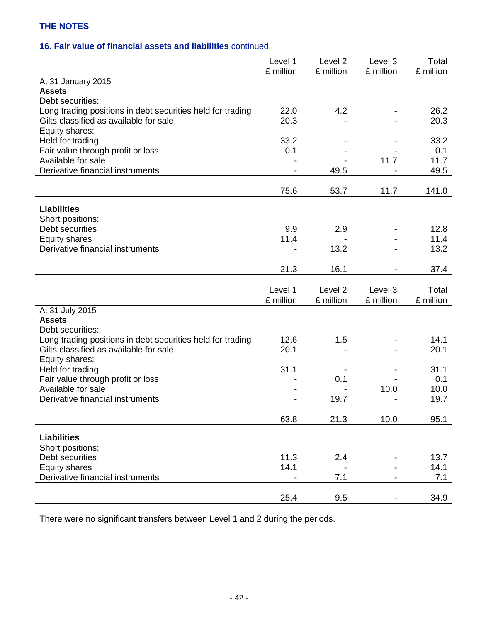# **16. Fair value of financial assets and liabilities** continued

|                                                                                | Level 1<br>£ million | Level <sub>2</sub><br>£ million | Level 3<br>£ million | Total<br>£ million |
|--------------------------------------------------------------------------------|----------------------|---------------------------------|----------------------|--------------------|
| At 31 January 2015                                                             |                      |                                 |                      |                    |
| <b>Assets</b>                                                                  |                      |                                 |                      |                    |
| Debt securities:<br>Long trading positions in debt securities held for trading | 22.0                 | 4.2                             |                      | 26.2               |
| Gilts classified as available for sale                                         | 20.3                 |                                 |                      | 20.3               |
| Equity shares:                                                                 |                      |                                 |                      |                    |
| Held for trading                                                               | 33.2                 |                                 |                      | 33.2               |
| Fair value through profit or loss                                              | 0.1                  |                                 |                      | 0.1                |
| Available for sale                                                             |                      |                                 | 11.7                 | 11.7               |
| Derivative financial instruments                                               |                      | 49.5                            |                      | 49.5               |
|                                                                                | 75.6                 | 53.7                            | 11.7                 | 141.0              |
| <b>Liabilities</b>                                                             |                      |                                 |                      |                    |
| Short positions:                                                               |                      |                                 |                      |                    |
| Debt securities                                                                | 9.9                  | 2.9                             |                      | 12.8               |
| <b>Equity shares</b>                                                           | 11.4                 |                                 |                      | 11.4               |
| Derivative financial instruments                                               |                      | 13.2                            |                      | 13.2               |
|                                                                                |                      |                                 |                      |                    |
|                                                                                | 21.3                 | 16.1                            |                      | 37.4               |
|                                                                                |                      |                                 |                      |                    |
|                                                                                |                      |                                 |                      |                    |
|                                                                                | Level 1<br>£ million | Level 2<br>£ million            | Level 3<br>£ million | Total<br>£ million |
| At 31 July 2015                                                                |                      |                                 |                      |                    |
| <b>Assets</b>                                                                  |                      |                                 |                      |                    |
| Debt securities:                                                               |                      |                                 |                      |                    |
| Long trading positions in debt securities held for trading                     | 12.6                 | 1.5                             |                      | 14.1               |
| Gilts classified as available for sale                                         | 20.1                 |                                 |                      | 20.1               |
| Equity shares:                                                                 |                      |                                 |                      |                    |
| Held for trading                                                               | 31.1                 |                                 |                      | 31.1               |
| Fair value through profit or loss<br>Available for sale                        |                      | 0.1                             | 10.0                 | 0.1<br>10.0        |
| Derivative financial instruments                                               |                      | 19.7                            |                      | 19.7               |
|                                                                                |                      |                                 |                      |                    |
|                                                                                | 63.8                 | 21.3                            | 10.0                 | 95.1               |
|                                                                                |                      |                                 |                      |                    |
| <b>Liabilities</b>                                                             |                      |                                 |                      |                    |
| Short positions:<br>Debt securities                                            | 11.3                 | 2.4                             |                      | 13.7               |
| <b>Equity shares</b>                                                           | 14.1                 |                                 |                      | 14.1               |
| Derivative financial instruments                                               |                      | 7.1                             |                      | 7.1                |

There were no significant transfers between Level 1 and 2 during the periods.